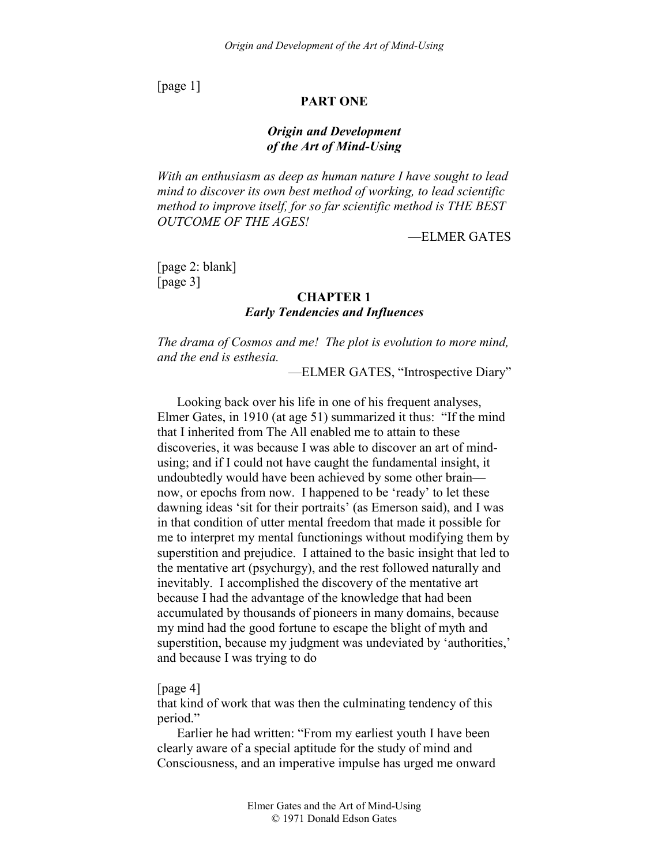[page 1]

# **PART ONE**

# *Origin and Development of the Art of Mind-Using*

*With an enthusiasm as deep as human nature I have sought to lead mind to discover its own best method of working, to lead scientific method to improve itself, for so far scientific method is THE BEST OUTCOME OF THE AGES!* 

—ELMER GATES

[page 2: blank] [page 3]

### **CHAPTER 1**

# *Early Tendencies and Influences*

*The drama of Cosmos and me! The plot is evolution to more mind, and the end is esthesia.* 

—ELMER GATES, "Introspective Diary"

Looking back over his life in one of his frequent analyses, Elmer Gates, in 1910 (at age 51) summarized it thus: "If the mind that I inherited from The All enabled me to attain to these discoveries, it was because I was able to discover an art of mindusing; and if I could not have caught the fundamental insight, it undoubtedly would have been achieved by some other brain now, or epochs from now. I happened to be 'ready' to let these dawning ideas 'sit for their portraits' (as Emerson said), and I was in that condition of utter mental freedom that made it possible for me to interpret my mental functionings without modifying them by superstition and prejudice. I attained to the basic insight that led to the mentative art (psychurgy), and the rest followed naturally and inevitably. I accomplished the discovery of the mentative art because I had the advantage of the knowledge that had been accumulated by thousands of pioneers in many domains, because my mind had the good fortune to escape the blight of myth and superstition, because my judgment was undeviated by 'authorities,' and because I was trying to do

[page 4]

that kind of work that was then the culminating tendency of this period."

Earlier he had written: "From my earliest youth I have been clearly aware of a special aptitude for the study of mind and Consciousness, and an imperative impulse has urged me onward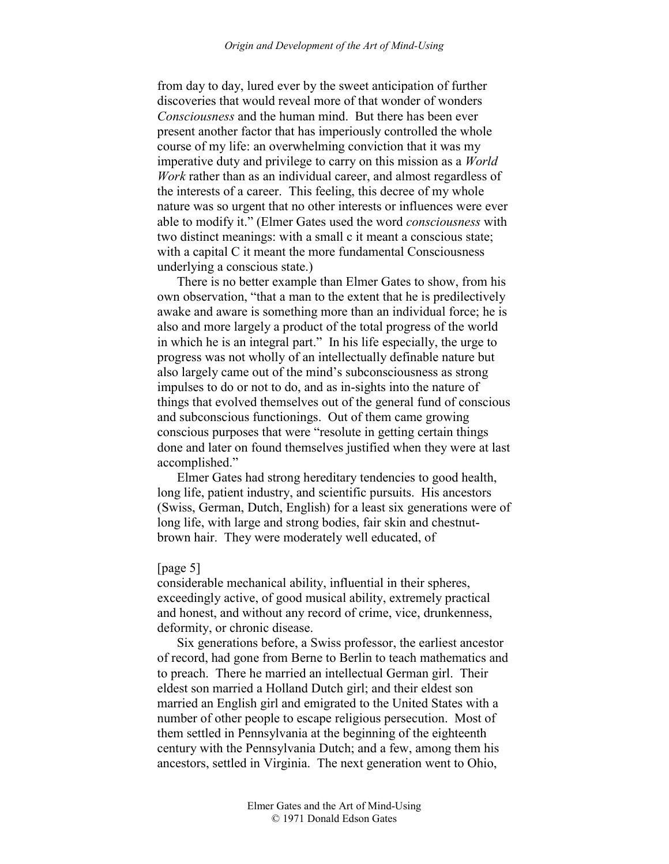from day to day, lured ever by the sweet anticipation of further discoveries that would reveal more of that wonder of wonders *Consciousness* and the human mind. But there has been ever present another factor that has imperiously controlled the whole course of my life: an overwhelming conviction that it was my imperative duty and privilege to carry on this mission as a *World Work* rather than as an individual career, and almost regardless of the interests of a career. This feeling, this decree of my whole nature was so urgent that no other interests or influences were ever able to modify it." (Elmer Gates used the word *consciousness* with two distinct meanings: with a small c it meant a conscious state; with a capital C it meant the more fundamental Consciousness underlying a conscious state.)

There is no better example than Elmer Gates to show, from his own observation, "that a man to the extent that he is predilectively awake and aware is something more than an individual force; he is also and more largely a product of the total progress of the world in which he is an integral part." In his life especially, the urge to progress was not wholly of an intellectually definable nature but also largely came out of the mind's subconsciousness as strong impulses to do or not to do, and as in-sights into the nature of things that evolved themselves out of the general fund of conscious and subconscious functionings. Out of them came growing conscious purposes that were "resolute in getting certain things done and later on found themselves justified when they were at last accomplished."

Elmer Gates had strong hereditary tendencies to good health, long life, patient industry, and scientific pursuits. His ancestors (Swiss, German, Dutch, English) for a least six generations were of long life, with large and strong bodies, fair skin and chestnutbrown hair. They were moderately well educated, of

### [page 5]

considerable mechanical ability, influential in their spheres, exceedingly active, of good musical ability, extremely practical and honest, and without any record of crime, vice, drunkenness, deformity, or chronic disease.

Six generations before, a Swiss professor, the earliest ancestor of record, had gone from Berne to Berlin to teach mathematics and to preach. There he married an intellectual German girl. Their eldest son married a Holland Dutch girl; and their eldest son married an English girl and emigrated to the United States with a number of other people to escape religious persecution. Most of them settled in Pennsylvania at the beginning of the eighteenth century with the Pennsylvania Dutch; and a few, among them his ancestors, settled in Virginia. The next generation went to Ohio,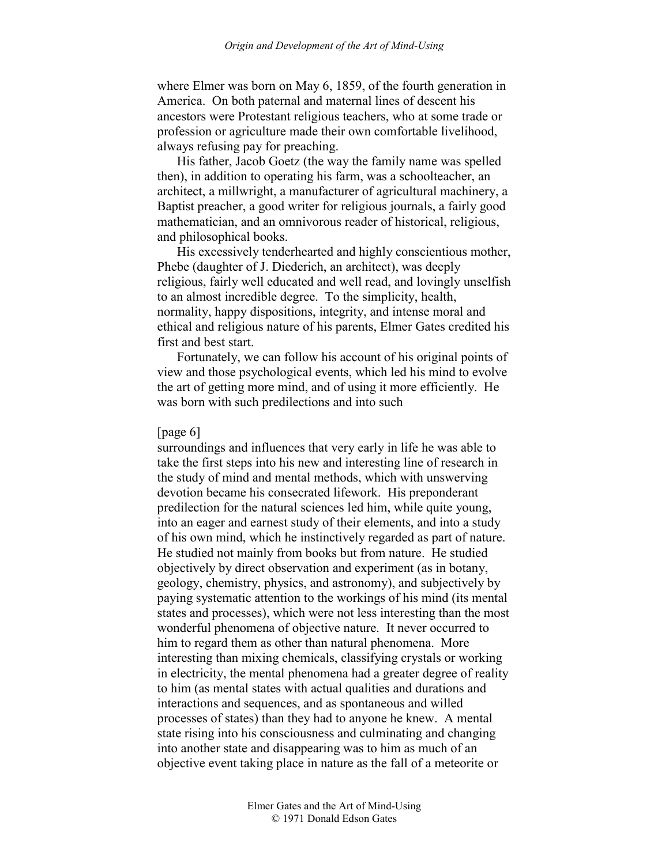where Elmer was born on May 6, 1859, of the fourth generation in America. On both paternal and maternal lines of descent his ancestors were Protestant religious teachers, who at some trade or profession or agriculture made their own comfortable livelihood, always refusing pay for preaching.

His father, Jacob Goetz (the way the family name was spelled then), in addition to operating his farm, was a schoolteacher, an architect, a millwright, a manufacturer of agricultural machinery, a Baptist preacher, a good writer for religious journals, a fairly good mathematician, and an omnivorous reader of historical, religious, and philosophical books.

His excessively tenderhearted and highly conscientious mother, Phebe (daughter of J. Diederich, an architect), was deeply religious, fairly well educated and well read, and lovingly unselfish to an almost incredible degree. To the simplicity, health, normality, happy dispositions, integrity, and intense moral and ethical and religious nature of his parents, Elmer Gates credited his first and best start.

Fortunately, we can follow his account of his original points of view and those psychological events, which led his mind to evolve the art of getting more mind, and of using it more efficiently. He was born with such predilections and into such

#### [page 6]

surroundings and influences that very early in life he was able to take the first steps into his new and interesting line of research in the study of mind and mental methods, which with unswerving devotion became his consecrated lifework. His preponderant predilection for the natural sciences led him, while quite young, into an eager and earnest study of their elements, and into a study of his own mind, which he instinctively regarded as part of nature. He studied not mainly from books but from nature. He studied objectively by direct observation and experiment (as in botany, geology, chemistry, physics, and astronomy), and subjectively by paying systematic attention to the workings of his mind (its mental states and processes), which were not less interesting than the most wonderful phenomena of objective nature. It never occurred to him to regard them as other than natural phenomena. More interesting than mixing chemicals, classifying crystals or working in electricity, the mental phenomena had a greater degree of reality to him (as mental states with actual qualities and durations and interactions and sequences, and as spontaneous and willed processes of states) than they had to anyone he knew. A mental state rising into his consciousness and culminating and changing into another state and disappearing was to him as much of an objective event taking place in nature as the fall of a meteorite or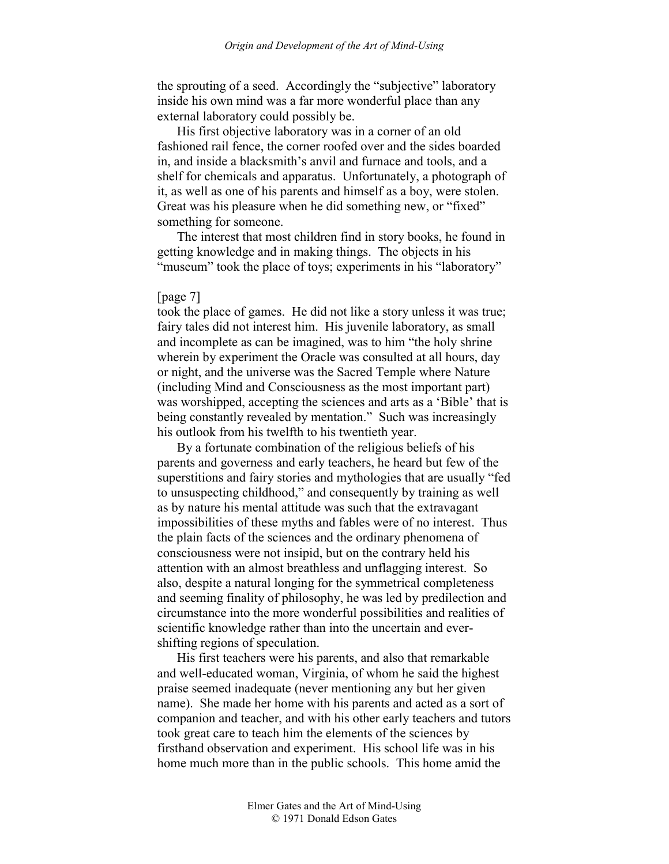the sprouting of a seed. Accordingly the "subjective" laboratory inside his own mind was a far more wonderful place than any external laboratory could possibly be.

His first objective laboratory was in a corner of an old fashioned rail fence, the corner roofed over and the sides boarded in, and inside a blacksmith's anvil and furnace and tools, and a shelf for chemicals and apparatus. Unfortunately, a photograph of it, as well as one of his parents and himself as a boy, were stolen. Great was his pleasure when he did something new, or "fixed" something for someone.

The interest that most children find in story books, he found in getting knowledge and in making things. The objects in his "museum" took the place of toys; experiments in his "laboratory"

#### [page 7]

took the place of games. He did not like a story unless it was true; fairy tales did not interest him. His juvenile laboratory, as small and incomplete as can be imagined, was to him "the holy shrine wherein by experiment the Oracle was consulted at all hours, day or night, and the universe was the Sacred Temple where Nature (including Mind and Consciousness as the most important part) was worshipped, accepting the sciences and arts as a 'Bible' that is being constantly revealed by mentation." Such was increasingly his outlook from his twelfth to his twentieth year.

By a fortunate combination of the religious beliefs of his parents and governess and early teachers, he heard but few of the superstitions and fairy stories and mythologies that are usually "fed to unsuspecting childhood," and consequently by training as well as by nature his mental attitude was such that the extravagant impossibilities of these myths and fables were of no interest. Thus the plain facts of the sciences and the ordinary phenomena of consciousness were not insipid, but on the contrary held his attention with an almost breathless and unflagging interest. So also, despite a natural longing for the symmetrical completeness and seeming finality of philosophy, he was led by predilection and circumstance into the more wonderful possibilities and realities of scientific knowledge rather than into the uncertain and evershifting regions of speculation.

His first teachers were his parents, and also that remarkable and well-educated woman, Virginia, of whom he said the highest praise seemed inadequate (never mentioning any but her given name). She made her home with his parents and acted as a sort of companion and teacher, and with his other early teachers and tutors took great care to teach him the elements of the sciences by firsthand observation and experiment. His school life was in his home much more than in the public schools. This home amid the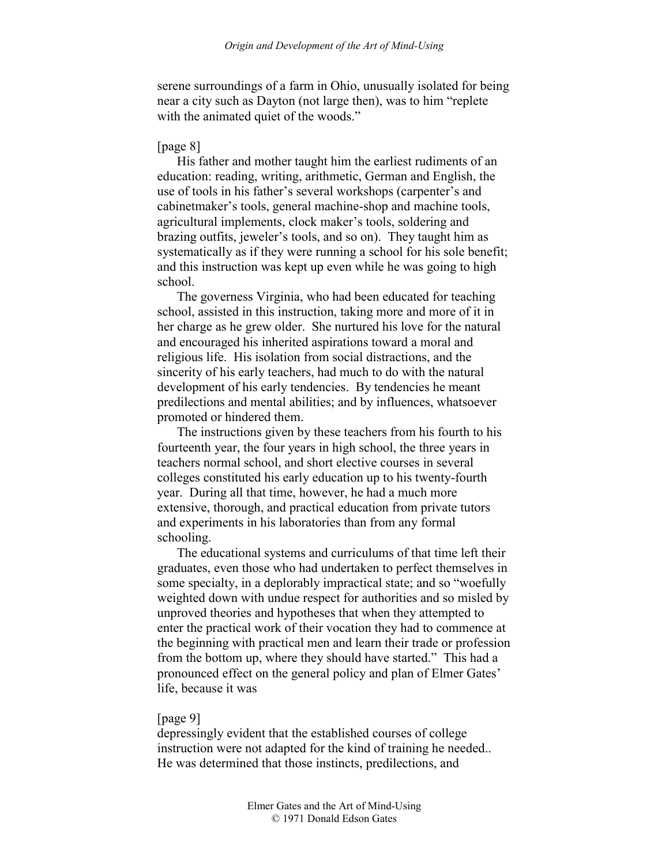serene surroundings of a farm in Ohio, unusually isolated for being near a city such as Dayton (not large then), was to him "replete with the animated quiet of the woods."

### [page 8]

His father and mother taught him the earliest rudiments of an education: reading, writing, arithmetic, German and English, the use of tools in his father's several workshops (carpenter's and cabinetmaker's tools, general machine-shop and machine tools, agricultural implements, clock maker's tools, soldering and brazing outfits, jeweler's tools, and so on). They taught him as systematically as if they were running a school for his sole benefit; and this instruction was kept up even while he was going to high school.

The governess Virginia, who had been educated for teaching school, assisted in this instruction, taking more and more of it in her charge as he grew older. She nurtured his love for the natural and encouraged his inherited aspirations toward a moral and religious life. His isolation from social distractions, and the sincerity of his early teachers, had much to do with the natural development of his early tendencies. By tendencies he meant predilections and mental abilities; and by influences, whatsoever promoted or hindered them.

The instructions given by these teachers from his fourth to his fourteenth year, the four years in high school, the three years in teachers normal school, and short elective courses in several colleges constituted his early education up to his twenty-fourth year. During all that time, however, he had a much more extensive, thorough, and practical education from private tutors and experiments in his laboratories than from any formal schooling.

The educational systems and curriculums of that time left their graduates, even those who had undertaken to perfect themselves in some specialty, in a deplorably impractical state; and so "woefully weighted down with undue respect for authorities and so misled by unproved theories and hypotheses that when they attempted to enter the practical work of their vocation they had to commence at the beginning with practical men and learn their trade or profession from the bottom up, where they should have started." This had a pronounced effect on the general policy and plan of Elmer Gates' life, because it was

### [page 9]

depressingly evident that the established courses of college instruction were not adapted for the kind of training he needed.. He was determined that those instincts, predilections, and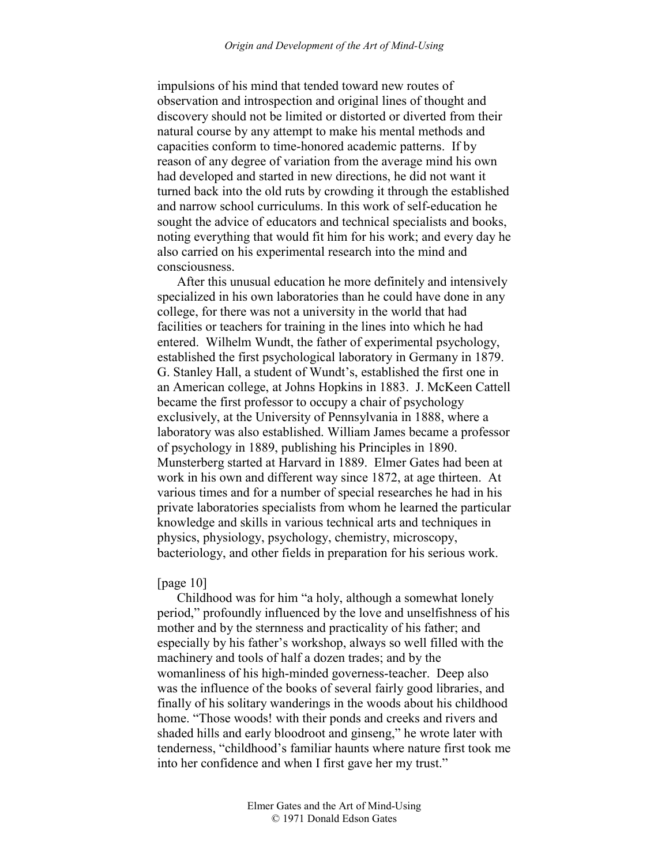impulsions of his mind that tended toward new routes of observation and introspection and original lines of thought and discovery should not be limited or distorted or diverted from their natural course by any attempt to make his mental methods and capacities conform to time-honored academic patterns. If by reason of any degree of variation from the average mind his own had developed and started in new directions, he did not want it turned back into the old ruts by crowding it through the established and narrow school curriculums. In this work of self-education he sought the advice of educators and technical specialists and books, noting everything that would fit him for his work; and every day he also carried on his experimental research into the mind and consciousness.

After this unusual education he more definitely and intensively specialized in his own laboratories than he could have done in any college, for there was not a university in the world that had facilities or teachers for training in the lines into which he had entered. Wilhelm Wundt, the father of experimental psychology, established the first psychological laboratory in Germany in 1879. G. Stanley Hall, a student of Wundt's, established the first one in an American college, at Johns Hopkins in 1883. J. McKeen Cattell became the first professor to occupy a chair of psychology exclusively, at the University of Pennsylvania in 1888, where a laboratory was also established. William James became a professor of psychology in 1889, publishing his Principles in 1890. Munsterberg started at Harvard in 1889. Elmer Gates had been at work in his own and different way since 1872, at age thirteen. At various times and for a number of special researches he had in his private laboratories specialists from whom he learned the particular knowledge and skills in various technical arts and techniques in physics, physiology, psychology, chemistry, microscopy, bacteriology, and other fields in preparation for his serious work.

### [page 10]

Childhood was for him "a holy, although a somewhat lonely period," profoundly influenced by the love and unselfishness of his mother and by the sternness and practicality of his father; and especially by his father's workshop, always so well filled with the machinery and tools of half a dozen trades; and by the womanliness of his high-minded governess-teacher. Deep also was the influence of the books of several fairly good libraries, and finally of his solitary wanderings in the woods about his childhood home. "Those woods! with their ponds and creeks and rivers and shaded hills and early bloodroot and ginseng," he wrote later with tenderness, "childhood's familiar haunts where nature first took me into her confidence and when I first gave her my trust."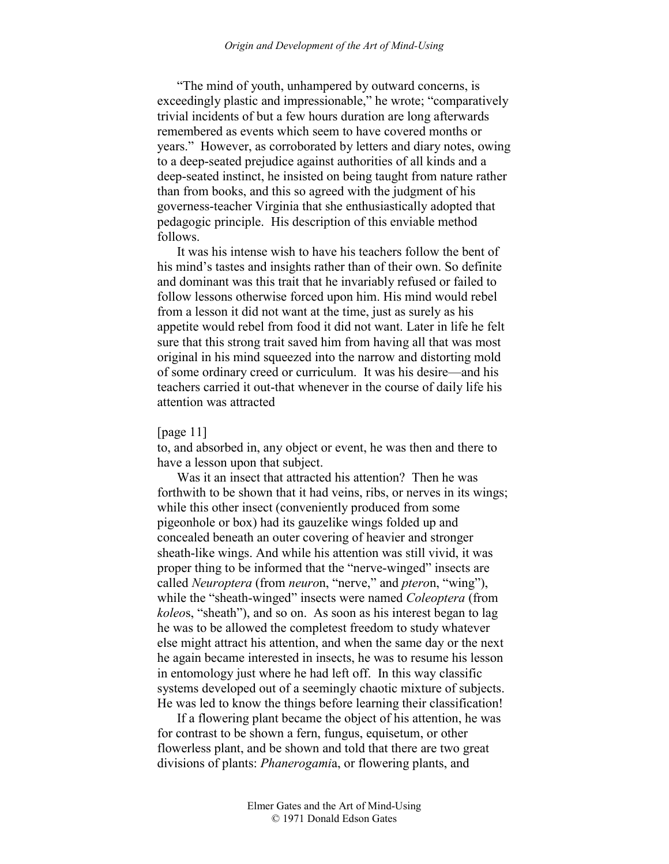"The mind of youth, unhampered by outward concerns, is exceedingly plastic and impressionable," he wrote; "comparatively trivial incidents of but a few hours duration are long afterwards remembered as events which seem to have covered months or years." However, as corroborated by letters and diary notes, owing to a deep-seated prejudice against authorities of all kinds and a deep-seated instinct, he insisted on being taught from nature rather than from books, and this so agreed with the judgment of his governess-teacher Virginia that she enthusiastically adopted that pedagogic principle. His description of this enviable method follows.

It was his intense wish to have his teachers follow the bent of his mind's tastes and insights rather than of their own. So definite and dominant was this trait that he invariably refused or failed to follow lessons otherwise forced upon him. His mind would rebel from a lesson it did not want at the time, just as surely as his appetite would rebel from food it did not want. Later in life he felt sure that this strong trait saved him from having all that was most original in his mind squeezed into the narrow and distorting mold of some ordinary creed or curriculum. It was his desire—and his teachers carried it out-that whenever in the course of daily life his attention was attracted

### [page 11]

to, and absorbed in, any object or event, he was then and there to have a lesson upon that subject.

Was it an insect that attracted his attention? Then he was forthwith to be shown that it had veins, ribs, or nerves in its wings; while this other insect (conveniently produced from some pigeonhole or box) had its gauzelike wings folded up and concealed beneath an outer covering of heavier and stronger sheath-like wings. And while his attention was still vivid, it was proper thing to be informed that the "nerve-winged" insects are called *Neuroptera* (from *neuro*n, "nerve," and *ptero*n, "wing"), while the "sheath-winged" insects were named *Coleoptera* (from *koleo*s, "sheath"), and so on. As soon as his interest began to lag he was to be allowed the completest freedom to study whatever else might attract his attention, and when the same day or the next he again became interested in insects, he was to resume his lesson in entomology just where he had left off. In this way classific systems developed out of a seemingly chaotic mixture of subjects. He was led to know the things before learning their classification!

If a flowering plant became the object of his attention, he was for contrast to be shown a fern, fungus, equisetum, or other flowerless plant, and be shown and told that there are two great divisions of plants: *Phanerogami*a, or flowering plants, and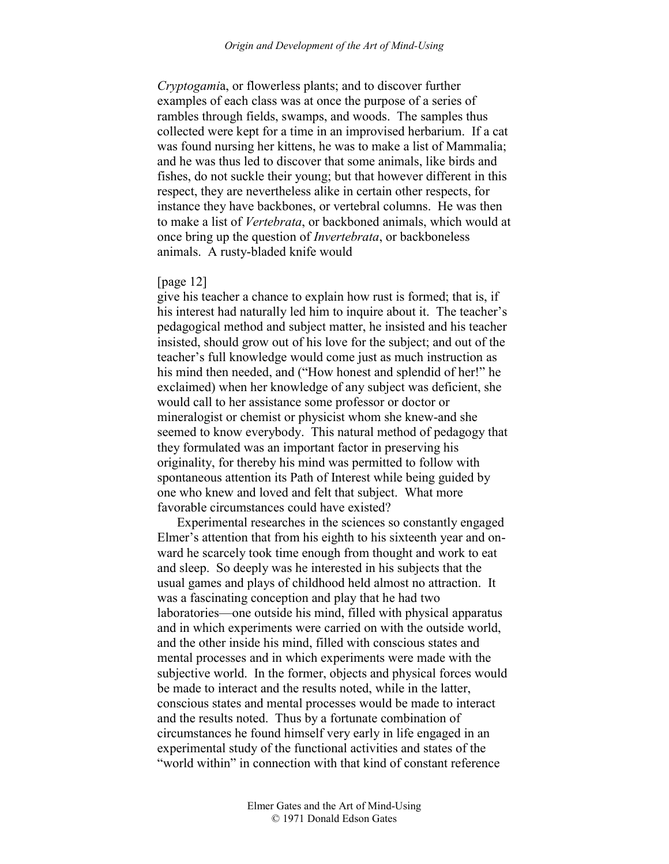*Cryptogami*a, or flowerless plants; and to discover further examples of each class was at once the purpose of a series of rambles through fields, swamps, and woods. The samples thus collected were kept for a time in an improvised herbarium. If a cat was found nursing her kittens, he was to make a list of Mammalia; and he was thus led to discover that some animals, like birds and fishes, do not suckle their young; but that however different in this respect, they are nevertheless alike in certain other respects, for instance they have backbones, or vertebral columns. He was then to make a list of *Vertebrata*, or backboned animals, which would at once bring up the question of *Invertebrata*, or backboneless animals. A rusty-bladed knife would

### [page 12]

give his teacher a chance to explain how rust is formed; that is, if his interest had naturally led him to inquire about it. The teacher's pedagogical method and subject matter, he insisted and his teacher insisted, should grow out of his love for the subject; and out of the teacher's full knowledge would come just as much instruction as his mind then needed, and ("How honest and splendid of her!" he exclaimed) when her knowledge of any subject was deficient, she would call to her assistance some professor or doctor or mineralogist or chemist or physicist whom she knew-and she seemed to know everybody. This natural method of pedagogy that they formulated was an important factor in preserving his originality, for thereby his mind was permitted to follow with spontaneous attention its Path of Interest while being guided by one who knew and loved and felt that subject. What more favorable circumstances could have existed?

Experimental researches in the sciences so constantly engaged Elmer's attention that from his eighth to his sixteenth year and onward he scarcely took time enough from thought and work to eat and sleep. So deeply was he interested in his subjects that the usual games and plays of childhood held almost no attraction. It was a fascinating conception and play that he had two laboratories—one outside his mind, filled with physical apparatus and in which experiments were carried on with the outside world, and the other inside his mind, filled with conscious states and mental processes and in which experiments were made with the subjective world. In the former, objects and physical forces would be made to interact and the results noted, while in the latter, conscious states and mental processes would be made to interact and the results noted. Thus by a fortunate combination of circumstances he found himself very early in life engaged in an experimental study of the functional activities and states of the "world within" in connection with that kind of constant reference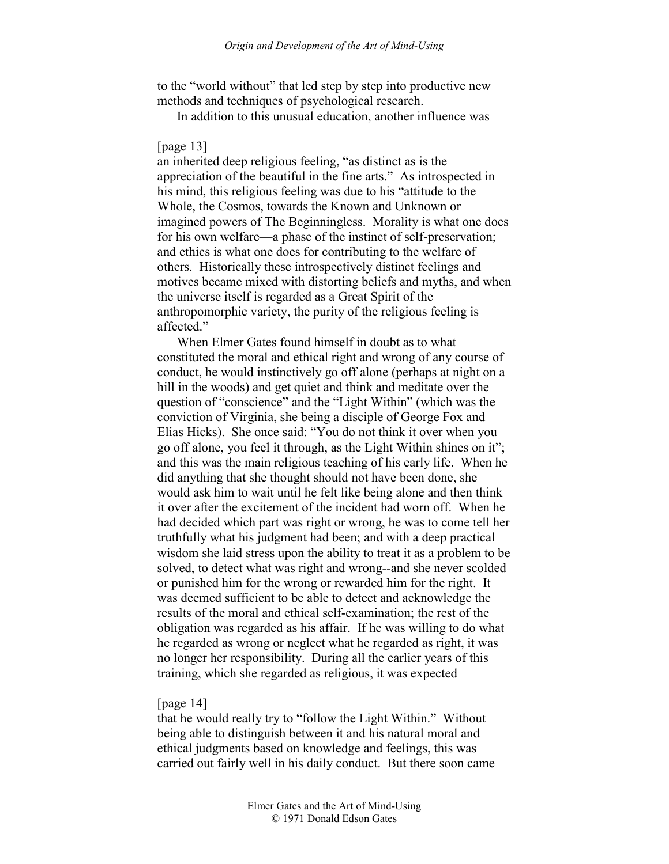to the "world without" that led step by step into productive new methods and techniques of psychological research.

In addition to this unusual education, another influence was

### [page 13]

an inherited deep religious feeling, "as distinct as is the appreciation of the beautiful in the fine arts." As introspected in his mind, this religious feeling was due to his "attitude to the Whole, the Cosmos, towards the Known and Unknown or imagined powers of The Beginningless. Morality is what one does for his own welfare—a phase of the instinct of self-preservation; and ethics is what one does for contributing to the welfare of others. Historically these introspectively distinct feelings and motives became mixed with distorting beliefs and myths, and when the universe itself is regarded as a Great Spirit of the anthropomorphic variety, the purity of the religious feeling is affected."

When Elmer Gates found himself in doubt as to what constituted the moral and ethical right and wrong of any course of conduct, he would instinctively go off alone (perhaps at night on a hill in the woods) and get quiet and think and meditate over the question of "conscience" and the "Light Within" (which was the conviction of Virginia, she being a disciple of George Fox and Elias Hicks). She once said: "You do not think it over when you go off alone, you feel it through, as the Light Within shines on it"; and this was the main religious teaching of his early life. When he did anything that she thought should not have been done, she would ask him to wait until he felt like being alone and then think it over after the excitement of the incident had worn off. When he had decided which part was right or wrong, he was to come tell her truthfully what his judgment had been; and with a deep practical wisdom she laid stress upon the ability to treat it as a problem to be solved, to detect what was right and wrong--and she never scolded or punished him for the wrong or rewarded him for the right. It was deemed sufficient to be able to detect and acknowledge the results of the moral and ethical self-examination; the rest of the obligation was regarded as his affair. If he was willing to do what he regarded as wrong or neglect what he regarded as right, it was no longer her responsibility. During all the earlier years of this training, which she regarded as religious, it was expected

# [page 14]

that he would really try to "follow the Light Within." Without being able to distinguish between it and his natural moral and ethical judgments based on knowledge and feelings, this was carried out fairly well in his daily conduct. But there soon came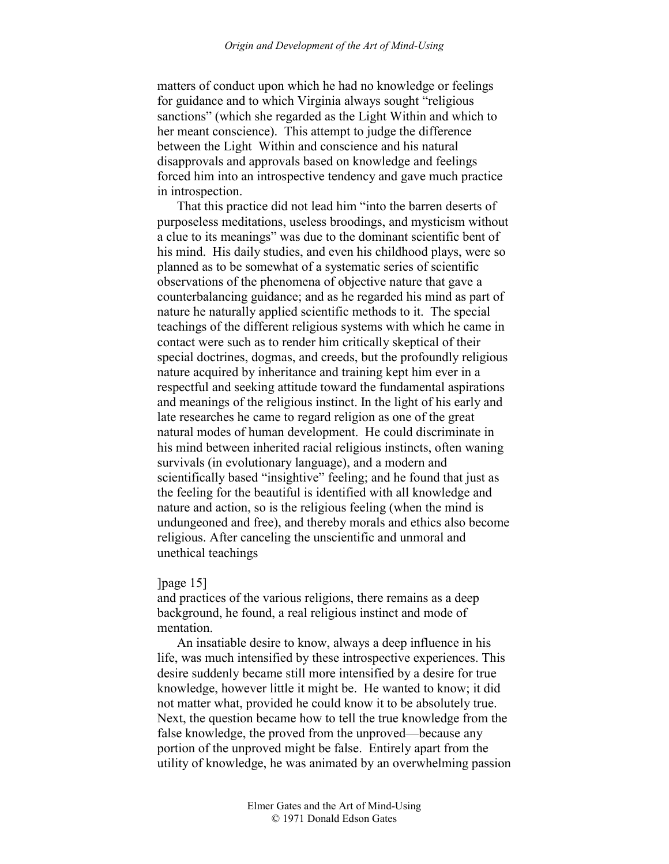matters of conduct upon which he had no knowledge or feelings for guidance and to which Virginia always sought "religious sanctions" (which she regarded as the Light Within and which to her meant conscience). This attempt to judge the difference between the Light Within and conscience and his natural disapprovals and approvals based on knowledge and feelings forced him into an introspective tendency and gave much practice in introspection.

That this practice did not lead him "into the barren deserts of purposeless meditations, useless broodings, and mysticism without a clue to its meanings" was due to the dominant scientific bent of his mind. His daily studies, and even his childhood plays, were so planned as to be somewhat of a systematic series of scientific observations of the phenomena of objective nature that gave a counterbalancing guidance; and as he regarded his mind as part of nature he naturally applied scientific methods to it. The special teachings of the different religious systems with which he came in contact were such as to render him critically skeptical of their special doctrines, dogmas, and creeds, but the profoundly religious nature acquired by inheritance and training kept him ever in a respectful and seeking attitude toward the fundamental aspirations and meanings of the religious instinct. In the light of his early and late researches he came to regard religion as one of the great natural modes of human development. He could discriminate in his mind between inherited racial religious instincts, often waning survivals (in evolutionary language), and a modern and scientifically based "insightive" feeling; and he found that just as the feeling for the beautiful is identified with all knowledge and nature and action, so is the religious feeling (when the mind is undungeoned and free), and thereby morals and ethics also become religious. After canceling the unscientific and unmoral and unethical teachings

#### $[page 15]$

and practices of the various religions, there remains as a deep background, he found, a real religious instinct and mode of mentation.

An insatiable desire to know, always a deep influence in his life, was much intensified by these introspective experiences. This desire suddenly became still more intensified by a desire for true knowledge, however little it might be. He wanted to know; it did not matter what, provided he could know it to be absolutely true. Next, the question became how to tell the true knowledge from the false knowledge, the proved from the unproved—because any portion of the unproved might be false. Entirely apart from the utility of knowledge, he was animated by an overwhelming passion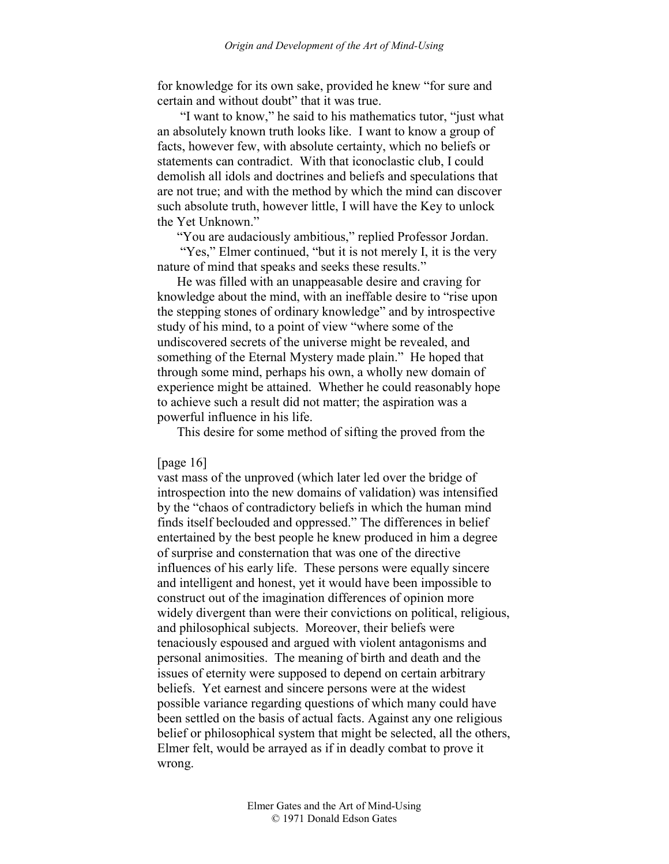for knowledge for its own sake, provided he knew "for sure and certain and without doubt" that it was true.

 "I want to know," he said to his mathematics tutor, "just what an absolutely known truth looks like. I want to know a group of facts, however few, with absolute certainty, which no beliefs or statements can contradict. With that iconoclastic club, I could demolish all idols and doctrines and beliefs and speculations that are not true; and with the method by which the mind can discover such absolute truth, however little, I will have the Key to unlock the Yet Unknown."

"You are audaciously ambitious," replied Professor Jordan.

"Yes," Elmer continued, "but it is not merely I, it is the very nature of mind that speaks and seeks these results."

He was filled with an unappeasable desire and craving for knowledge about the mind, with an ineffable desire to "rise upon the stepping stones of ordinary knowledge" and by introspective study of his mind, to a point of view "where some of the undiscovered secrets of the universe might be revealed, and something of the Eternal Mystery made plain." He hoped that through some mind, perhaps his own, a wholly new domain of experience might be attained. Whether he could reasonably hope to achieve such a result did not matter; the aspiration was a powerful influence in his life.

This desire for some method of sifting the proved from the

[page 16]

vast mass of the unproved (which later led over the bridge of introspection into the new domains of validation) was intensified by the "chaos of contradictory beliefs in which the human mind finds itself beclouded and oppressed." The differences in belief entertained by the best people he knew produced in him a degree of surprise and consternation that was one of the directive influences of his early life. These persons were equally sincere and intelligent and honest, yet it would have been impossible to construct out of the imagination differences of opinion more widely divergent than were their convictions on political, religious, and philosophical subjects. Moreover, their beliefs were tenaciously espoused and argued with violent antagonisms and personal animosities. The meaning of birth and death and the issues of eternity were supposed to depend on certain arbitrary beliefs. Yet earnest and sincere persons were at the widest possible variance regarding questions of which many could have been settled on the basis of actual facts. Against any one religious belief or philosophical system that might be selected, all the others, Elmer felt, would be arrayed as if in deadly combat to prove it wrong.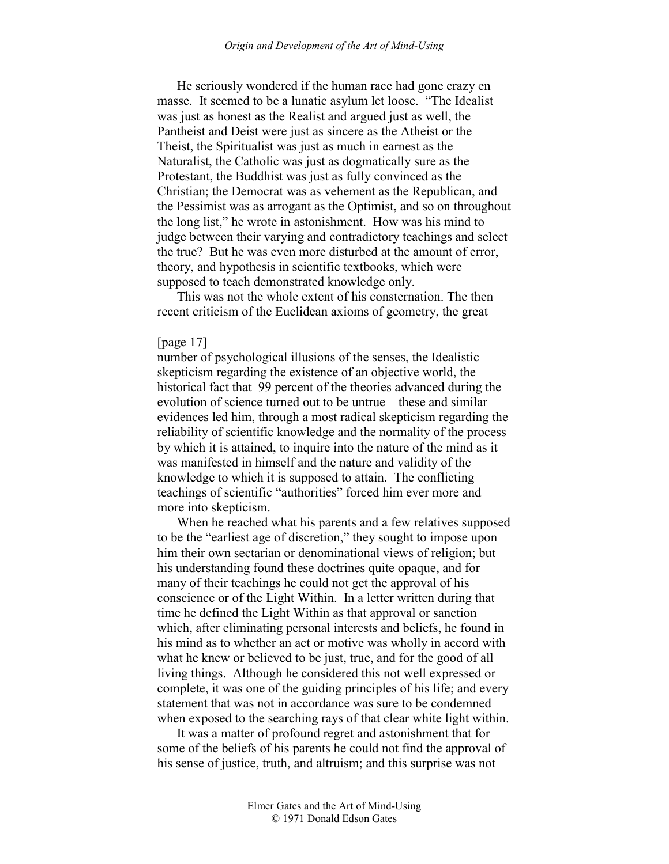He seriously wondered if the human race had gone crazy en masse. It seemed to be a lunatic asylum let loose. "The Idealist was just as honest as the Realist and argued just as well, the Pantheist and Deist were just as sincere as the Atheist or the Theist, the Spiritualist was just as much in earnest as the Naturalist, the Catholic was just as dogmatically sure as the Protestant, the Buddhist was just as fully convinced as the Christian; the Democrat was as vehement as the Republican, and the Pessimist was as arrogant as the Optimist, and so on throughout the long list," he wrote in astonishment. How was his mind to judge between their varying and contradictory teachings and select the true? But he was even more disturbed at the amount of error, theory, and hypothesis in scientific textbooks, which were supposed to teach demonstrated knowledge only.

This was not the whole extent of his consternation. The then recent criticism of the Euclidean axioms of geometry, the great

### [page 17]

number of psychological illusions of the senses, the Idealistic skepticism regarding the existence of an objective world, the historical fact that 99 percent of the theories advanced during the evolution of science turned out to be untrue—these and similar evidences led him, through a most radical skepticism regarding the reliability of scientific knowledge and the normality of the process by which it is attained, to inquire into the nature of the mind as it was manifested in himself and the nature and validity of the knowledge to which it is supposed to attain. The conflicting teachings of scientific "authorities" forced him ever more and more into skepticism.

When he reached what his parents and a few relatives supposed to be the "earliest age of discretion," they sought to impose upon him their own sectarian or denominational views of religion; but his understanding found these doctrines quite opaque, and for many of their teachings he could not get the approval of his conscience or of the Light Within. In a letter written during that time he defined the Light Within as that approval or sanction which, after eliminating personal interests and beliefs, he found in his mind as to whether an act or motive was wholly in accord with what he knew or believed to be just, true, and for the good of all living things. Although he considered this not well expressed or complete, it was one of the guiding principles of his life; and every statement that was not in accordance was sure to be condemned when exposed to the searching rays of that clear white light within.

It was a matter of profound regret and astonishment that for some of the beliefs of his parents he could not find the approval of his sense of justice, truth, and altruism; and this surprise was not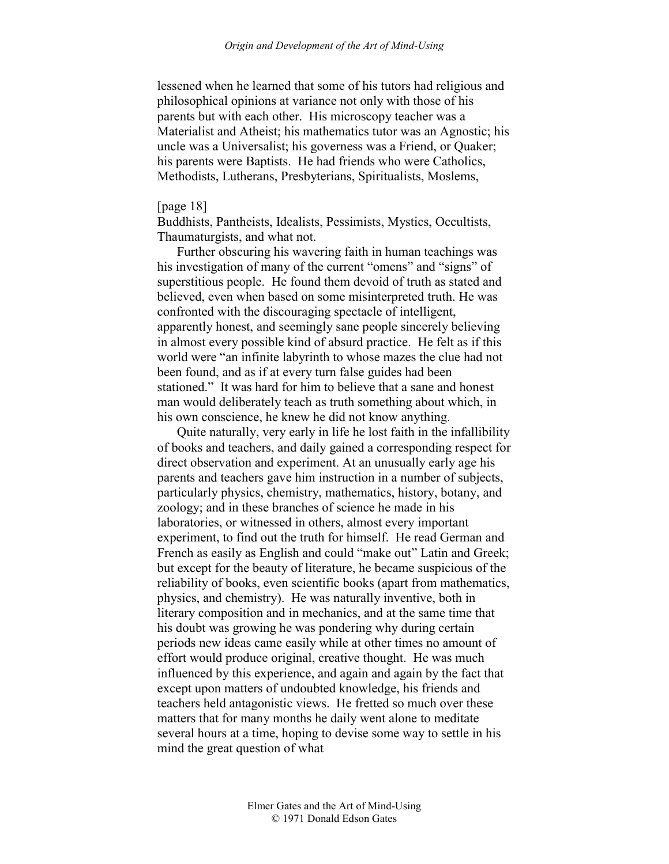lessened when he learned that some of his tutors had religious and philosophical opinions at variance not only with those of his parents but with each other. His microscopy teacher was a Materialist and Atheist; his mathematics tutor was an Agnostic; his uncle was a Universalist; his governess was a Friend, or Quaker; his parents were Baptists. He had friends who were Catholics, Methodists, Lutherans, Presbyterians, Spiritualists, Moslems,

# [page 18]

Buddhists, Pantheists, Idealists, Pessimists, Mystics, Occultists, Thaumaturgists, and what not.

Further obscuring his wavering faith in human teachings was his investigation of many of the current "omens" and "signs" of superstitious people. He found them devoid of truth as stated and believed, even when based on some misinterpreted truth. He was confronted with the discouraging spectacle of intelligent, apparently honest, and seemingly sane people sincerely believing in almost every possible kind of absurd practice. He felt as if this world were "an infinite labyrinth to whose mazes the clue had not been found, and as if at every turn false guides had been stationed." It was hard for him to believe that a sane and honest man would deliberately teach as truth something about which, in his own conscience, he knew he did not know anything.

Quite naturally, very early in life he lost faith in the infallibility of books and teachers, and daily gained a corresponding respect for direct observation and experiment. At an unusually early age his parents and teachers gave him instruction in a number of subjects, particularly physics, chemistry, mathematics, history, botany, and zoology; and in these branches of science he made in his laboratories, or witnessed in others, almost every important experiment, to find out the truth for himself. He read German and French as easily as English and could "make out" Latin and Greek; but except for the beauty of literature, he became suspicious of the reliability of books, even scientific books (apart from mathematics, physics, and chemistry). He was naturally inventive, both in literary composition and in mechanics, and at the same time that his doubt was growing he was pondering why during certain periods new ideas came easily while at other times no amount of effort would produce original, creative thought. He was much influenced by this experience, and again and again by the fact that except upon matters of undoubted knowledge, his friends and teachers held antagonistic views. He fretted so much over these matters that for many months he daily went alone to meditate several hours at a time, hoping to devise some way to settle in his mind the great question of what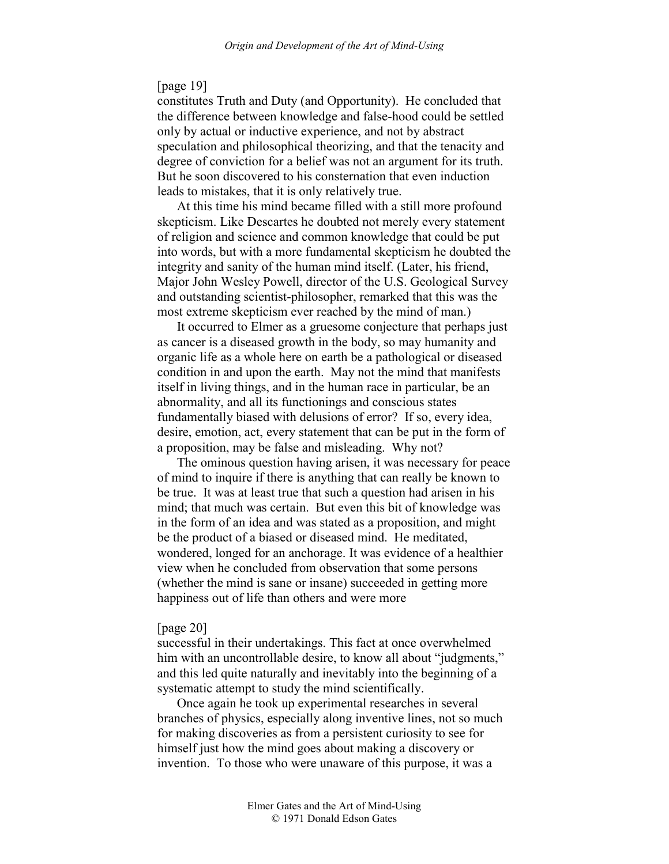# [page 19]

constitutes Truth and Duty (and Opportunity). He concluded that the difference between knowledge and false-hood could be settled only by actual or inductive experience, and not by abstract speculation and philosophical theorizing, and that the tenacity and degree of conviction for a belief was not an argument for its truth. But he soon discovered to his consternation that even induction leads to mistakes, that it is only relatively true.

At this time his mind became filled with a still more profound skepticism. Like Descartes he doubted not merely every statement of religion and science and common knowledge that could be put into words, but with a more fundamental skepticism he doubted the integrity and sanity of the human mind itself. (Later, his friend, Major John Wesley Powell, director of the U.S. Geological Survey and outstanding scientist-philosopher, remarked that this was the most extreme skepticism ever reached by the mind of man.)

It occurred to Elmer as a gruesome conjecture that perhaps just as cancer is a diseased growth in the body, so may humanity and organic life as a whole here on earth be a pathological or diseased condition in and upon the earth. May not the mind that manifests itself in living things, and in the human race in particular, be an abnormality, and all its functionings and conscious states fundamentally biased with delusions of error? If so, every idea, desire, emotion, act, every statement that can be put in the form of a proposition, may be false and misleading. Why not?

The ominous question having arisen, it was necessary for peace of mind to inquire if there is anything that can really be known to be true. It was at least true that such a question had arisen in his mind; that much was certain. But even this bit of knowledge was in the form of an idea and was stated as a proposition, and might be the product of a biased or diseased mind. He meditated, wondered, longed for an anchorage. It was evidence of a healthier view when he concluded from observation that some persons (whether the mind is sane or insane) succeeded in getting more happiness out of life than others and were more

#### [page 20]

successful in their undertakings. This fact at once overwhelmed him with an uncontrollable desire, to know all about "judgments," and this led quite naturally and inevitably into the beginning of a systematic attempt to study the mind scientifically.

Once again he took up experimental researches in several branches of physics, especially along inventive lines, not so much for making discoveries as from a persistent curiosity to see for himself just how the mind goes about making a discovery or invention. To those who were unaware of this purpose, it was a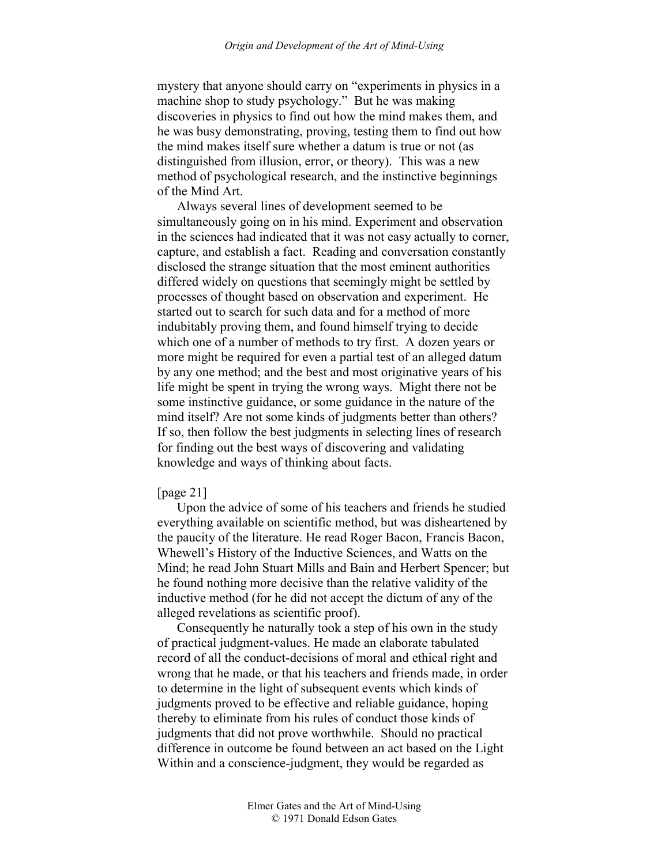mystery that anyone should carry on "experiments in physics in a machine shop to study psychology." But he was making discoveries in physics to find out how the mind makes them, and he was busy demonstrating, proving, testing them to find out how the mind makes itself sure whether a datum is true or not (as distinguished from illusion, error, or theory). This was a new method of psychological research, and the instinctive beginnings of the Mind Art.

Always several lines of development seemed to be simultaneously going on in his mind. Experiment and observation in the sciences had indicated that it was not easy actually to corner, capture, and establish a fact. Reading and conversation constantly disclosed the strange situation that the most eminent authorities differed widely on questions that seemingly might be settled by processes of thought based on observation and experiment. He started out to search for such data and for a method of more indubitably proving them, and found himself trying to decide which one of a number of methods to try first. A dozen years or more might be required for even a partial test of an alleged datum by any one method; and the best and most originative years of his life might be spent in trying the wrong ways. Might there not be some instinctive guidance, or some guidance in the nature of the mind itself? Are not some kinds of judgments better than others? If so, then follow the best judgments in selecting lines of research for finding out the best ways of discovering and validating knowledge and ways of thinking about facts.

### [page 21]

Upon the advice of some of his teachers and friends he studied everything available on scientific method, but was disheartened by the paucity of the literature. He read Roger Bacon, Francis Bacon, Whewell's History of the Inductive Sciences, and Watts on the Mind; he read John Stuart Mills and Bain and Herbert Spencer; but he found nothing more decisive than the relative validity of the inductive method (for he did not accept the dictum of any of the alleged revelations as scientific proof).

Consequently he naturally took a step of his own in the study of practical judgment-values. He made an elaborate tabulated record of all the conduct-decisions of moral and ethical right and wrong that he made, or that his teachers and friends made, in order to determine in the light of subsequent events which kinds of judgments proved to be effective and reliable guidance, hoping thereby to eliminate from his rules of conduct those kinds of judgments that did not prove worthwhile. Should no practical difference in outcome be found between an act based on the Light Within and a conscience-judgment, they would be regarded as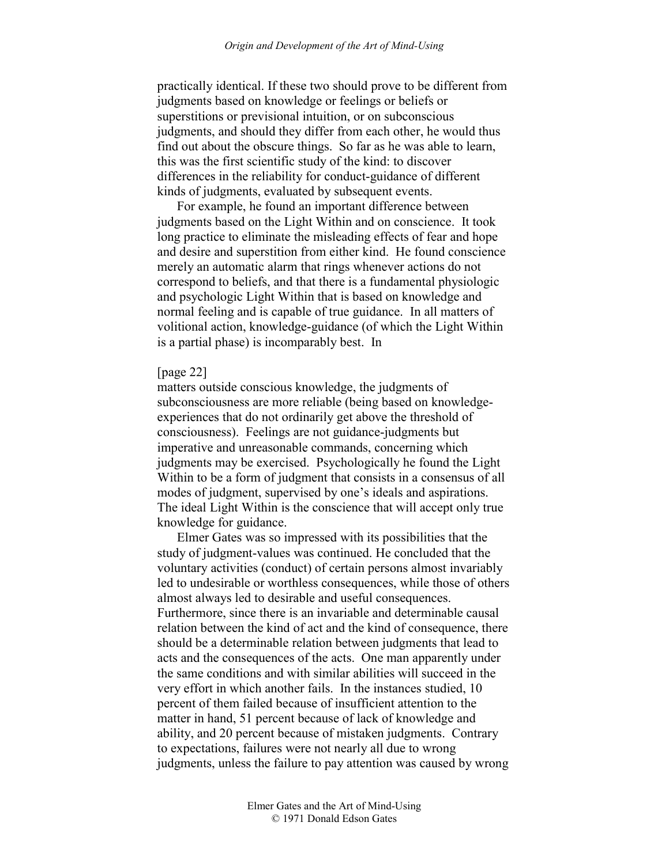practically identical. If these two should prove to be different from judgments based on knowledge or feelings or beliefs or superstitions or previsional intuition, or on subconscious judgments, and should they differ from each other, he would thus find out about the obscure things. So far as he was able to learn, this was the first scientific study of the kind: to discover differences in the reliability for conduct-guidance of different kinds of judgments, evaluated by subsequent events.

For example, he found an important difference between judgments based on the Light Within and on conscience. It took long practice to eliminate the misleading effects of fear and hope and desire and superstition from either kind. He found conscience merely an automatic alarm that rings whenever actions do not correspond to beliefs, and that there is a fundamental physiologic and psychologic Light Within that is based on knowledge and normal feeling and is capable of true guidance. In all matters of volitional action, knowledge-guidance (of which the Light Within is a partial phase) is incomparably best. In

## [page 22]

matters outside conscious knowledge, the judgments of subconsciousness are more reliable (being based on knowledgeexperiences that do not ordinarily get above the threshold of consciousness). Feelings are not guidance-judgments but imperative and unreasonable commands, concerning which judgments may be exercised. Psychologically he found the Light Within to be a form of judgment that consists in a consensus of all modes of judgment, supervised by one's ideals and aspirations. The ideal Light Within is the conscience that will accept only true knowledge for guidance.

Elmer Gates was so impressed with its possibilities that the study of judgment-values was continued. He concluded that the voluntary activities (conduct) of certain persons almost invariably led to undesirable or worthless consequences, while those of others almost always led to desirable and useful consequences. Furthermore, since there is an invariable and determinable causal relation between the kind of act and the kind of consequence, there should be a determinable relation between judgments that lead to acts and the consequences of the acts. One man apparently under the same conditions and with similar abilities will succeed in the very effort in which another fails. In the instances studied, 10 percent of them failed because of insufficient attention to the matter in hand, 51 percent because of lack of knowledge and ability, and 20 percent because of mistaken judgments. Contrary to expectations, failures were not nearly all due to wrong judgments, unless the failure to pay attention was caused by wrong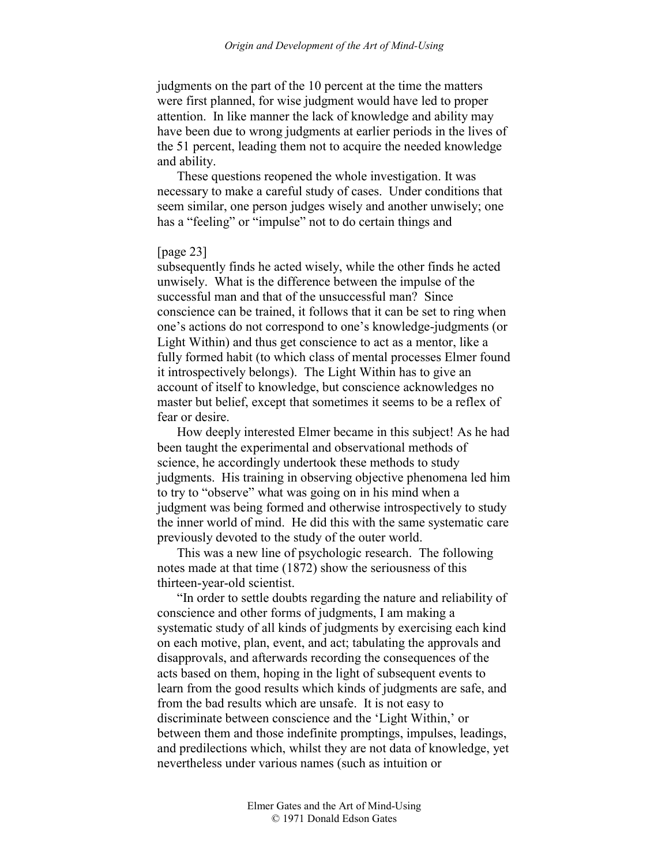judgments on the part of the 10 percent at the time the matters were first planned, for wise judgment would have led to proper attention. In like manner the lack of knowledge and ability may have been due to wrong judgments at earlier periods in the lives of the 51 percent, leading them not to acquire the needed knowledge and ability.

These questions reopened the whole investigation. It was necessary to make a careful study of cases. Under conditions that seem similar, one person judges wisely and another unwisely; one has a "feeling" or "impulse" not to do certain things and

### [page 23]

subsequently finds he acted wisely, while the other finds he acted unwisely. What is the difference between the impulse of the successful man and that of the unsuccessful man? Since conscience can be trained, it follows that it can be set to ring when one's actions do not correspond to one's knowledge-judgments (or Light Within) and thus get conscience to act as a mentor, like a fully formed habit (to which class of mental processes Elmer found it introspectively belongs). The Light Within has to give an account of itself to knowledge, but conscience acknowledges no master but belief, except that sometimes it seems to be a reflex of fear or desire.

How deeply interested Elmer became in this subject! As he had been taught the experimental and observational methods of science, he accordingly undertook these methods to study judgments. His training in observing objective phenomena led him to try to "observe" what was going on in his mind when a judgment was being formed and otherwise introspectively to study the inner world of mind. He did this with the same systematic care previously devoted to the study of the outer world.

This was a new line of psychologic research. The following notes made at that time (1872) show the seriousness of this thirteen-year-old scientist.

"In order to settle doubts regarding the nature and reliability of conscience and other forms of judgments, I am making a systematic study of all kinds of judgments by exercising each kind on each motive, plan, event, and act; tabulating the approvals and disapprovals, and afterwards recording the consequences of the acts based on them, hoping in the light of subsequent events to learn from the good results which kinds of judgments are safe, and from the bad results which are unsafe. It is not easy to discriminate between conscience and the 'Light Within,' or between them and those indefinite promptings, impulses, leadings, and predilections which, whilst they are not data of knowledge, yet nevertheless under various names (such as intuition or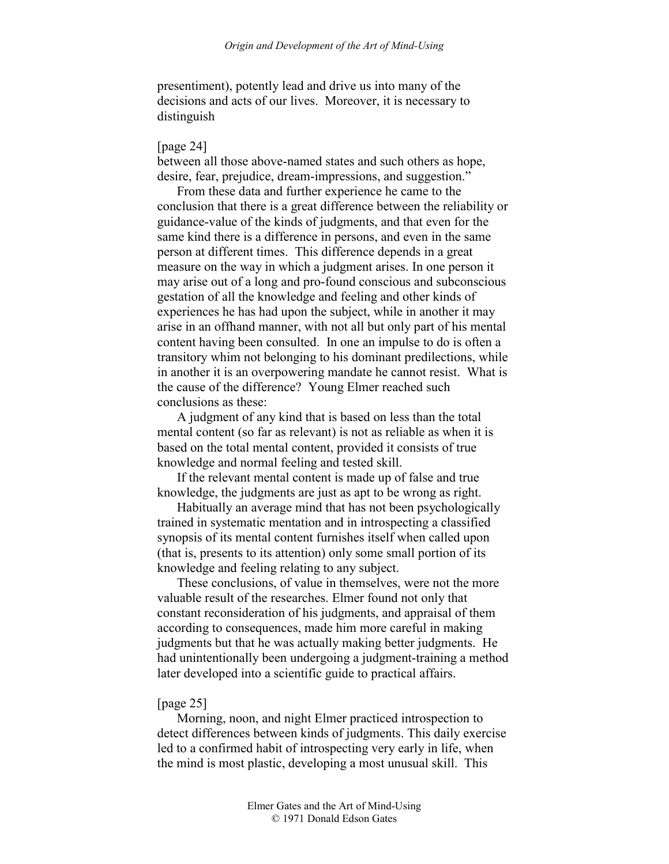presentiment), potently lead and drive us into many of the decisions and acts of our lives. Moreover, it is necessary to distinguish

### [page 24]

between all those above-named states and such others as hope, desire, fear, prejudice, dream-impressions, and suggestion."

From these data and further experience he came to the conclusion that there is a great difference between the reliability or guidance-value of the kinds of judgments, and that even for the same kind there is a difference in persons, and even in the same person at different times. This difference depends in a great measure on the way in which a judgment arises. In one person it may arise out of a long and pro-found conscious and subconscious gestation of all the knowledge and feeling and other kinds of experiences he has had upon the subject, while in another it may arise in an offhand manner, with not all but only part of his mental content having been consulted. In one an impulse to do is often a transitory whim not belonging to his dominant predilections, while in another it is an overpowering mandate he cannot resist. What is the cause of the difference? Young Elmer reached such conclusions as these:

A judgment of any kind that is based on less than the total mental content (so far as relevant) is not as reliable as when it is based on the total mental content, provided it consists of true knowledge and normal feeling and tested skill.

If the relevant mental content is made up of false and true knowledge, the judgments are just as apt to be wrong as right.

Habitually an average mind that has not been psychologically trained in systematic mentation and in introspecting a classified synopsis of its mental content furnishes itself when called upon (that is, presents to its attention) only some small portion of its knowledge and feeling relating to any subject.

These conclusions, of value in themselves, were not the more valuable result of the researches. Elmer found not only that constant reconsideration of his judgments, and appraisal of them according to consequences, made him more careful in making judgments but that he was actually making better judgments. He had unintentionally been undergoing a judgment-training a method later developed into a scientific guide to practical affairs.

### [page 25]

Morning, noon, and night Elmer practiced introspection to detect differences between kinds of judgments. This daily exercise led to a confirmed habit of introspecting very early in life, when the mind is most plastic, developing a most unusual skill. This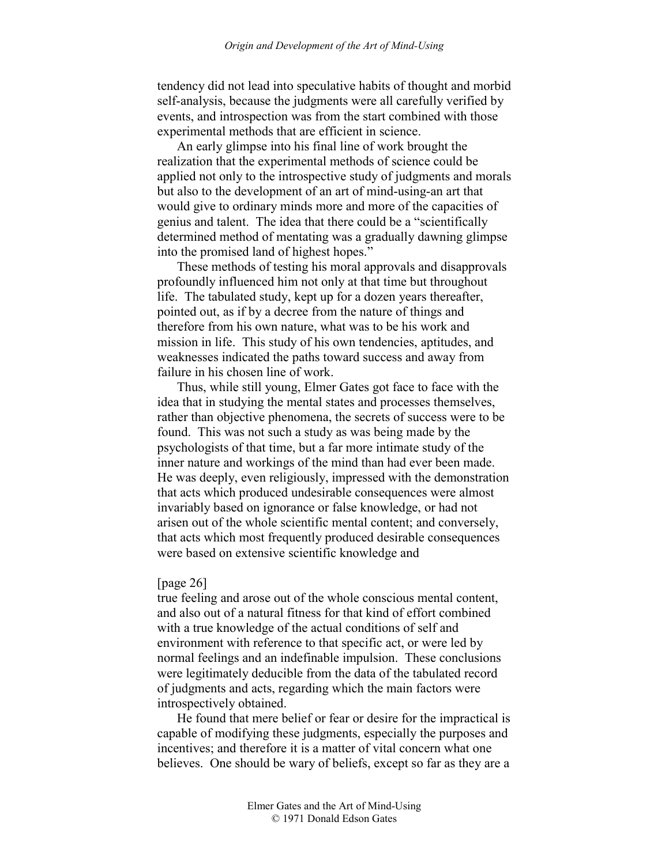tendency did not lead into speculative habits of thought and morbid self-analysis, because the judgments were all carefully verified by events, and introspection was from the start combined with those experimental methods that are efficient in science.

An early glimpse into his final line of work brought the realization that the experimental methods of science could be applied not only to the introspective study of judgments and morals but also to the development of an art of mind-using-an art that would give to ordinary minds more and more of the capacities of genius and talent. The idea that there could be a "scientifically determined method of mentating was a gradually dawning glimpse into the promised land of highest hopes."

These methods of testing his moral approvals and disapprovals profoundly influenced him not only at that time but throughout life. The tabulated study, kept up for a dozen years thereafter, pointed out, as if by a decree from the nature of things and therefore from his own nature, what was to be his work and mission in life. This study of his own tendencies, aptitudes, and weaknesses indicated the paths toward success and away from failure in his chosen line of work.

Thus, while still young, Elmer Gates got face to face with the idea that in studying the mental states and processes themselves, rather than objective phenomena, the secrets of success were to be found. This was not such a study as was being made by the psychologists of that time, but a far more intimate study of the inner nature and workings of the mind than had ever been made. He was deeply, even religiously, impressed with the demonstration that acts which produced undesirable consequences were almost invariably based on ignorance or false knowledge, or had not arisen out of the whole scientific mental content; and conversely, that acts which most frequently produced desirable consequences were based on extensive scientific knowledge and

#### [page 26]

true feeling and arose out of the whole conscious mental content, and also out of a natural fitness for that kind of effort combined with a true knowledge of the actual conditions of self and environment with reference to that specific act, or were led by normal feelings and an indefinable impulsion. These conclusions were legitimately deducible from the data of the tabulated record of judgments and acts, regarding which the main factors were introspectively obtained.

He found that mere belief or fear or desire for the impractical is capable of modifying these judgments, especially the purposes and incentives; and therefore it is a matter of vital concern what one believes. One should be wary of beliefs, except so far as they are a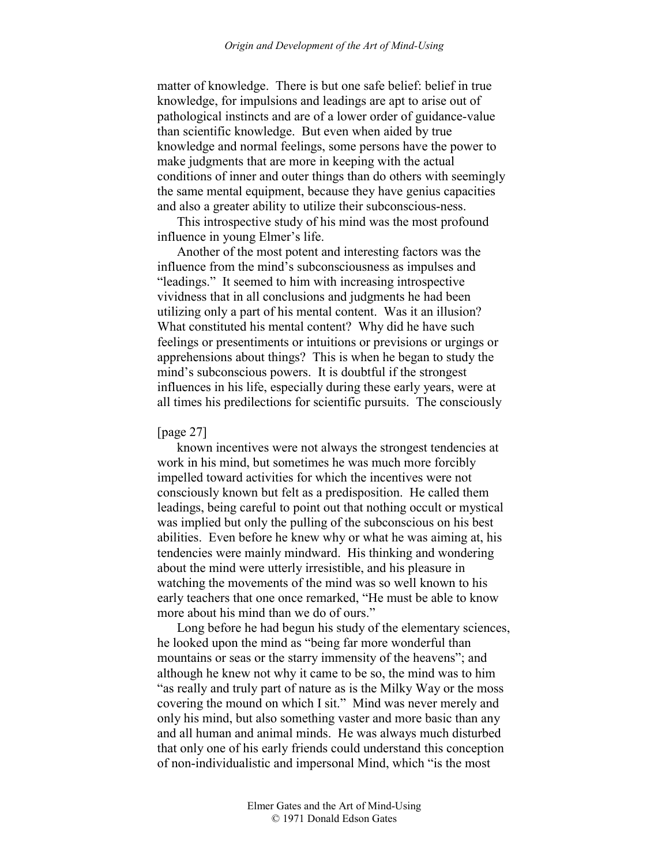matter of knowledge. There is but one safe belief: belief in true knowledge, for impulsions and leadings are apt to arise out of pathological instincts and are of a lower order of guidance-value than scientific knowledge. But even when aided by true knowledge and normal feelings, some persons have the power to make judgments that are more in keeping with the actual conditions of inner and outer things than do others with seemingly the same mental equipment, because they have genius capacities and also a greater ability to utilize their subconscious-ness.

This introspective study of his mind was the most profound influence in young Elmer's life.

Another of the most potent and interesting factors was the influence from the mind's subconsciousness as impulses and "leadings." It seemed to him with increasing introspective vividness that in all conclusions and judgments he had been utilizing only a part of his mental content. Was it an illusion? What constituted his mental content? Why did he have such feelings or presentiments or intuitions or previsions or urgings or apprehensions about things? This is when he began to study the mind's subconscious powers. It is doubtful if the strongest influences in his life, especially during these early years, were at all times his predilections for scientific pursuits. The consciously

### [page 27]

known incentives were not always the strongest tendencies at work in his mind, but sometimes he was much more forcibly impelled toward activities for which the incentives were not consciously known but felt as a predisposition. He called them leadings, being careful to point out that nothing occult or mystical was implied but only the pulling of the subconscious on his best abilities. Even before he knew why or what he was aiming at, his tendencies were mainly mindward. His thinking and wondering about the mind were utterly irresistible, and his pleasure in watching the movements of the mind was so well known to his early teachers that one once remarked, "He must be able to know more about his mind than we do of ours."

Long before he had begun his study of the elementary sciences, he looked upon the mind as "being far more wonderful than mountains or seas or the starry immensity of the heavens"; and although he knew not why it came to be so, the mind was to him "as really and truly part of nature as is the Milky Way or the moss covering the mound on which I sit." Mind was never merely and only his mind, but also something vaster and more basic than any and all human and animal minds. He was always much disturbed that only one of his early friends could understand this conception of non-individualistic and impersonal Mind, which "is the most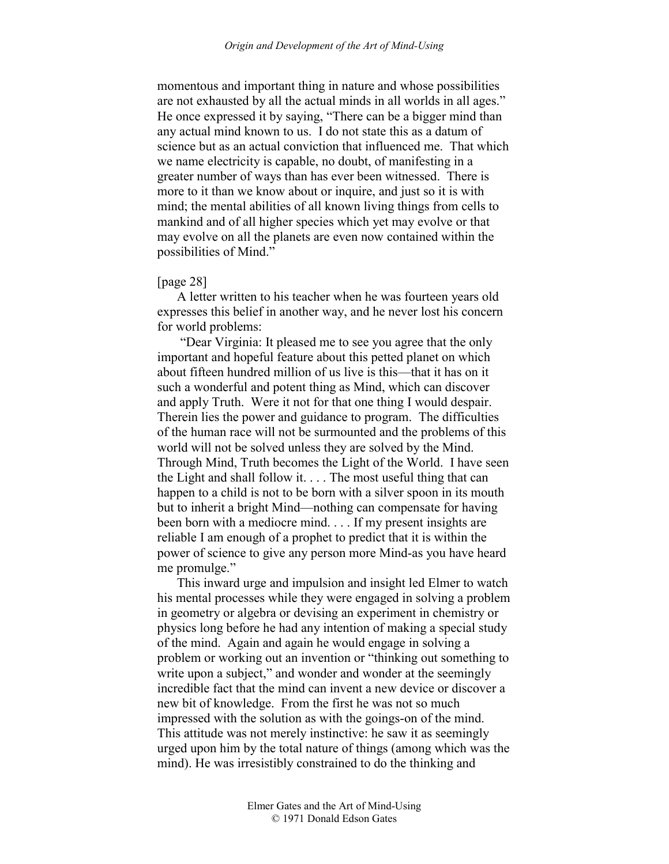momentous and important thing in nature and whose possibilities are not exhausted by all the actual minds in all worlds in all ages." He once expressed it by saying, "There can be a bigger mind than any actual mind known to us. I do not state this as a datum of science but as an actual conviction that influenced me. That which we name electricity is capable, no doubt, of manifesting in a greater number of ways than has ever been witnessed. There is more to it than we know about or inquire, and just so it is with mind; the mental abilities of all known living things from cells to mankind and of all higher species which yet may evolve or that may evolve on all the planets are even now contained within the possibilities of Mind."

### [page 28]

A letter written to his teacher when he was fourteen years old expresses this belief in another way, and he never lost his concern for world problems:

 "Dear Virginia: It pleased me to see you agree that the only important and hopeful feature about this petted planet on which about fifteen hundred million of us live is this—that it has on it such a wonderful and potent thing as Mind, which can discover and apply Truth. Were it not for that one thing I would despair. Therein lies the power and guidance to program. The difficulties of the human race will not be surmounted and the problems of this world will not be solved unless they are solved by the Mind. Through Mind, Truth becomes the Light of the World. I have seen the Light and shall follow it. . . . The most useful thing that can happen to a child is not to be born with a silver spoon in its mouth but to inherit a bright Mind—nothing can compensate for having been born with a mediocre mind. . . . If my present insights are reliable I am enough of a prophet to predict that it is within the power of science to give any person more Mind-as you have heard me promulge."

This inward urge and impulsion and insight led Elmer to watch his mental processes while they were engaged in solving a problem in geometry or algebra or devising an experiment in chemistry or physics long before he had any intention of making a special study of the mind. Again and again he would engage in solving a problem or working out an invention or "thinking out something to write upon a subject," and wonder and wonder at the seemingly incredible fact that the mind can invent a new device or discover a new bit of knowledge. From the first he was not so much impressed with the solution as with the goings-on of the mind. This attitude was not merely instinctive: he saw it as seemingly urged upon him by the total nature of things (among which was the mind). He was irresistibly constrained to do the thinking and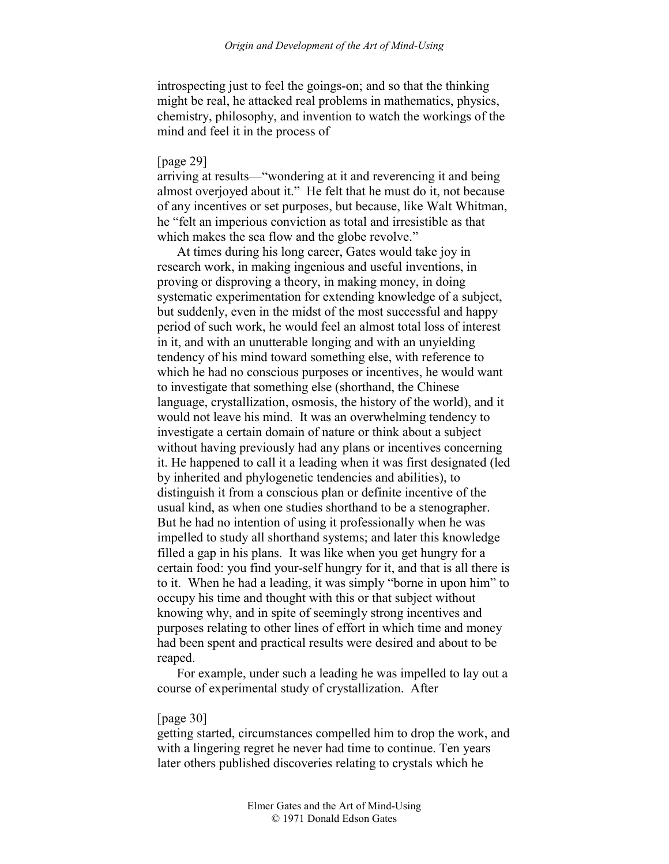introspecting just to feel the goings-on; and so that the thinking might be real, he attacked real problems in mathematics, physics, chemistry, philosophy, and invention to watch the workings of the mind and feel it in the process of

### [page 29]

arriving at results—"wondering at it and reverencing it and being almost overjoyed about it." He felt that he must do it, not because of any incentives or set purposes, but because, like Walt Whitman, he "felt an imperious conviction as total and irresistible as that which makes the sea flow and the globe revolve."

At times during his long career, Gates would take joy in research work, in making ingenious and useful inventions, in proving or disproving a theory, in making money, in doing systematic experimentation for extending knowledge of a subject, but suddenly, even in the midst of the most successful and happy period of such work, he would feel an almost total loss of interest in it, and with an unutterable longing and with an unyielding tendency of his mind toward something else, with reference to which he had no conscious purposes or incentives, he would want to investigate that something else (shorthand, the Chinese language, crystallization, osmosis, the history of the world), and it would not leave his mind. It was an overwhelming tendency to investigate a certain domain of nature or think about a subject without having previously had any plans or incentives concerning it. He happened to call it a leading when it was first designated (led by inherited and phylogenetic tendencies and abilities), to distinguish it from a conscious plan or definite incentive of the usual kind, as when one studies shorthand to be a stenographer. But he had no intention of using it professionally when he was impelled to study all shorthand systems; and later this knowledge filled a gap in his plans. It was like when you get hungry for a certain food: you find your-self hungry for it, and that is all there is to it. When he had a leading, it was simply "borne in upon him" to occupy his time and thought with this or that subject without knowing why, and in spite of seemingly strong incentives and purposes relating to other lines of effort in which time and money had been spent and practical results were desired and about to be reaped.

For example, under such a leading he was impelled to lay out a course of experimental study of crystallization. After

#### [page 30]

getting started, circumstances compelled him to drop the work, and with a lingering regret he never had time to continue. Ten years later others published discoveries relating to crystals which he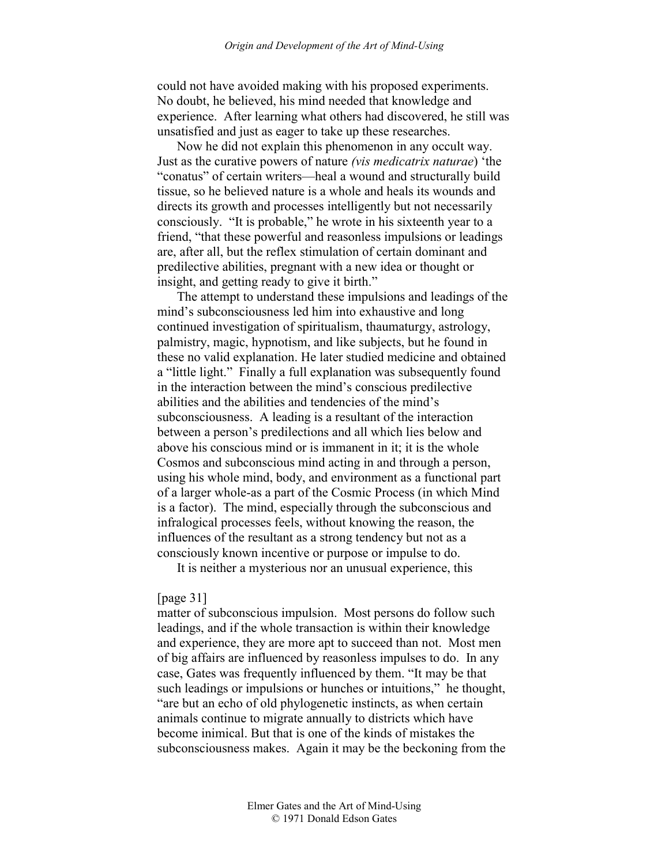could not have avoided making with his proposed experiments. No doubt, he believed, his mind needed that knowledge and experience. After learning what others had discovered, he still was unsatisfied and just as eager to take up these researches.

Now he did not explain this phenomenon in any occult way. Just as the curative powers of nature *(vis medicatrix naturae*) 'the "conatus" of certain writers—heal a wound and structurally build tissue, so he believed nature is a whole and heals its wounds and directs its growth and processes intelligently but not necessarily consciously. "It is probable," he wrote in his sixteenth year to a friend, "that these powerful and reasonless impulsions or leadings are, after all, but the reflex stimulation of certain dominant and predilective abilities, pregnant with a new idea or thought or insight, and getting ready to give it birth."

The attempt to understand these impulsions and leadings of the mind's subconsciousness led him into exhaustive and long continued investigation of spiritualism, thaumaturgy, astrology, palmistry, magic, hypnotism, and like subjects, but he found in these no valid explanation. He later studied medicine and obtained a "little light." Finally a full explanation was subsequently found in the interaction between the mind's conscious predilective abilities and the abilities and tendencies of the mind's subconsciousness. A leading is a resultant of the interaction between a person's predilections and all which lies below and above his conscious mind or is immanent in it; it is the whole Cosmos and subconscious mind acting in and through a person, using his whole mind, body, and environment as a functional part of a larger whole-as a part of the Cosmic Process (in which Mind is a factor). The mind, especially through the subconscious and infralogical processes feels, without knowing the reason, the influences of the resultant as a strong tendency but not as a consciously known incentive or purpose or impulse to do.

It is neither a mysterious nor an unusual experience, this

### [page 31]

matter of subconscious impulsion. Most persons do follow such leadings, and if the whole transaction is within their knowledge and experience, they are more apt to succeed than not. Most men of big affairs are influenced by reasonless impulses to do. In any case, Gates was frequently influenced by them. "It may be that such leadings or impulsions or hunches or intuitions," he thought, "are but an echo of old phylogenetic instincts, as when certain animals continue to migrate annually to districts which have become inimical. But that is one of the kinds of mistakes the subconsciousness makes. Again it may be the beckoning from the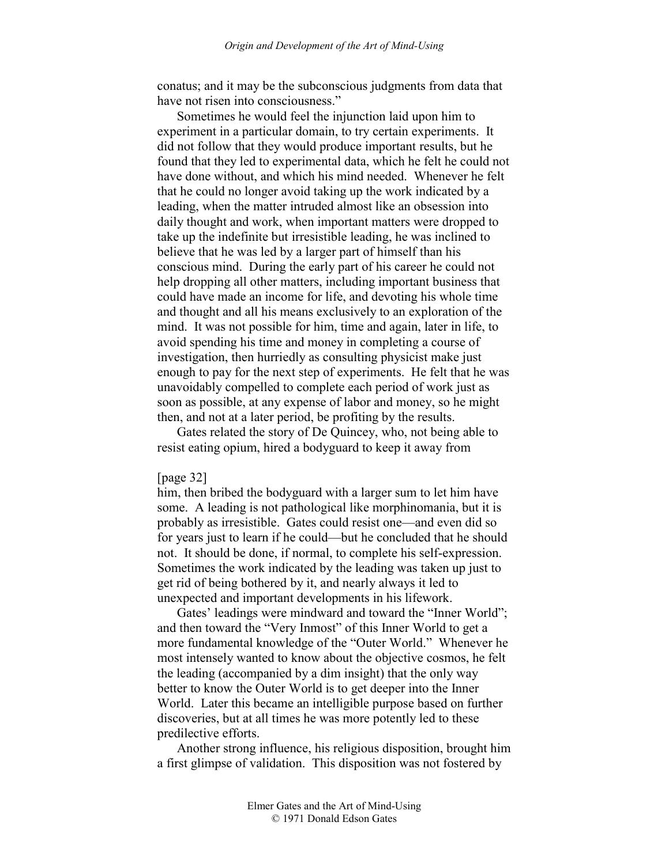conatus; and it may be the subconscious judgments from data that have not risen into consciousness."

Sometimes he would feel the injunction laid upon him to experiment in a particular domain, to try certain experiments. It did not follow that they would produce important results, but he found that they led to experimental data, which he felt he could not have done without, and which his mind needed. Whenever he felt that he could no longer avoid taking up the work indicated by a leading, when the matter intruded almost like an obsession into daily thought and work, when important matters were dropped to take up the indefinite but irresistible leading, he was inclined to believe that he was led by a larger part of himself than his conscious mind. During the early part of his career he could not help dropping all other matters, including important business that could have made an income for life, and devoting his whole time and thought and all his means exclusively to an exploration of the mind. It was not possible for him, time and again, later in life, to avoid spending his time and money in completing a course of investigation, then hurriedly as consulting physicist make just enough to pay for the next step of experiments. He felt that he was unavoidably compelled to complete each period of work just as soon as possible, at any expense of labor and money, so he might then, and not at a later period, be profiting by the results.

Gates related the story of De Quincey, who, not being able to resist eating opium, hired a bodyguard to keep it away from

#### [page 32]

him, then bribed the bodyguard with a larger sum to let him have some. A leading is not pathological like morphinomania, but it is probably as irresistible. Gates could resist one—and even did so for years just to learn if he could—but he concluded that he should not. It should be done, if normal, to complete his self-expression. Sometimes the work indicated by the leading was taken up just to get rid of being bothered by it, and nearly always it led to unexpected and important developments in his lifework.

Gates' leadings were mindward and toward the "Inner World"; and then toward the "Very Inmost" of this Inner World to get a more fundamental knowledge of the "Outer World." Whenever he most intensely wanted to know about the objective cosmos, he felt the leading (accompanied by a dim insight) that the only way better to know the Outer World is to get deeper into the Inner World. Later this became an intelligible purpose based on further discoveries, but at all times he was more potently led to these predilective efforts.

Another strong influence, his religious disposition, brought him a first glimpse of validation. This disposition was not fostered by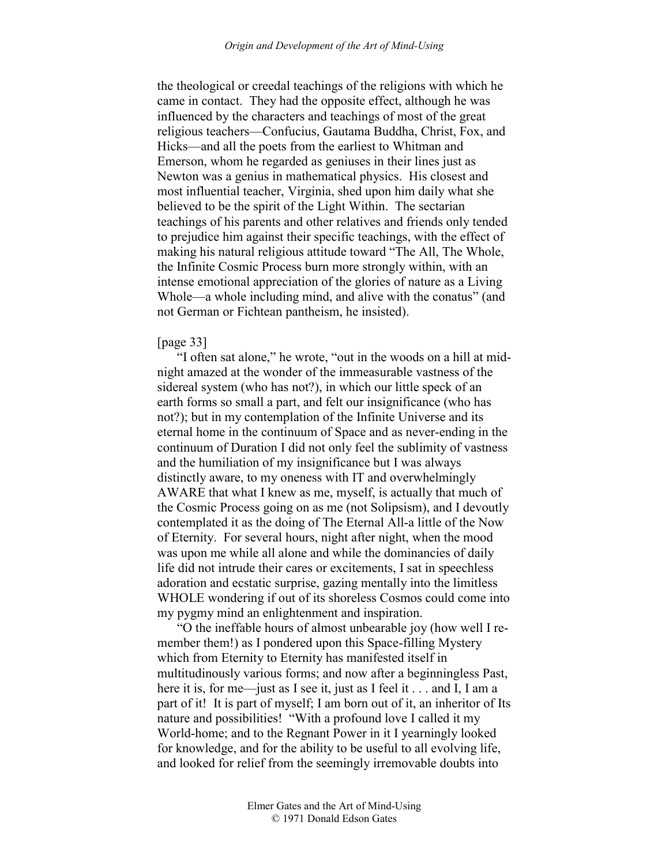the theological or creedal teachings of the religions with which he came in contact. They had the opposite effect, although he was influenced by the characters and teachings of most of the great religious teachers—Confucius, Gautama Buddha, Christ, Fox, and Hicks—and all the poets from the earliest to Whitman and Emerson, whom he regarded as geniuses in their lines just as Newton was a genius in mathematical physics. His closest and most influential teacher, Virginia, shed upon him daily what she believed to be the spirit of the Light Within. The sectarian teachings of his parents and other relatives and friends only tended to prejudice him against their specific teachings, with the effect of making his natural religious attitude toward "The All, The Whole, the Infinite Cosmic Process burn more strongly within, with an intense emotional appreciation of the glories of nature as a Living Whole—a whole including mind, and alive with the conatus" (and not German or Fichtean pantheism, he insisted).

# [page 33]

"I often sat alone," he wrote, "out in the woods on a hill at midnight amazed at the wonder of the immeasurable vastness of the sidereal system (who has not?), in which our little speck of an earth forms so small a part, and felt our insignificance (who has not?); but in my contemplation of the Infinite Universe and its eternal home in the continuum of Space and as never-ending in the continuum of Duration I did not only feel the sublimity of vastness and the humiliation of my insignificance but I was always distinctly aware, to my oneness with IT and overwhelmingly AWARE that what I knew as me, myself, is actually that much of the Cosmic Process going on as me (not Solipsism), and I devoutly contemplated it as the doing of The Eternal All-a little of the Now of Eternity. For several hours, night after night, when the mood was upon me while all alone and while the dominancies of daily life did not intrude their cares or excitements, I sat in speechless adoration and ecstatic surprise, gazing mentally into the limitless WHOLE wondering if out of its shoreless Cosmos could come into my pygmy mind an enlightenment and inspiration.

"O the ineffable hours of almost unbearable joy (how well I remember them!) as I pondered upon this Space-filling Mystery which from Eternity to Eternity has manifested itself in multitudinously various forms; and now after a beginningless Past, here it is, for me—just as I see it, just as I feel it . . . and I, I am a part of it! It is part of myself; I am born out of it, an inheritor of Its nature and possibilities! "With a profound love I called it my World-home; and to the Regnant Power in it I yearningly looked for knowledge, and for the ability to be useful to all evolving life, and looked for relief from the seemingly irremovable doubts into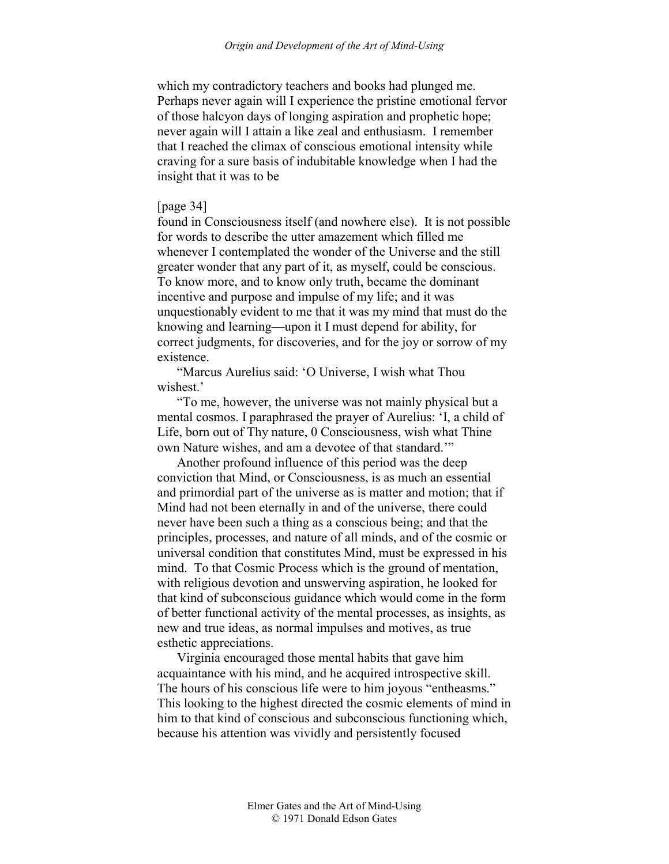which my contradictory teachers and books had plunged me. Perhaps never again will I experience the pristine emotional fervor of those halcyon days of longing aspiration and prophetic hope; never again will I attain a like zeal and enthusiasm. I remember that I reached the climax of conscious emotional intensity while craving for a sure basis of indubitable knowledge when I had the insight that it was to be

### [page 34]

found in Consciousness itself (and nowhere else). It is not possible for words to describe the utter amazement which filled me whenever I contemplated the wonder of the Universe and the still greater wonder that any part of it, as myself, could be conscious. To know more, and to know only truth, became the dominant incentive and purpose and impulse of my life; and it was unquestionably evident to me that it was my mind that must do the knowing and learning—upon it I must depend for ability, for correct judgments, for discoveries, and for the joy or sorrow of my existence.

"Marcus Aurelius said: 'O Universe, I wish what Thou wishest<sup>'</sup>

"To me, however, the universe was not mainly physical but a mental cosmos. I paraphrased the prayer of Aurelius: 'I, a child of Life, born out of Thy nature, 0 Consciousness, wish what Thine own Nature wishes, and am a devotee of that standard.'"

Another profound influence of this period was the deep conviction that Mind, or Consciousness, is as much an essential and primordial part of the universe as is matter and motion; that if Mind had not been eternally in and of the universe, there could never have been such a thing as a conscious being; and that the principles, processes, and nature of all minds, and of the cosmic or universal condition that constitutes Mind, must be expressed in his mind. To that Cosmic Process which is the ground of mentation, with religious devotion and unswerving aspiration, he looked for that kind of subconscious guidance which would come in the form of better functional activity of the mental processes, as insights, as new and true ideas, as normal impulses and motives, as true esthetic appreciations.

Virginia encouraged those mental habits that gave him acquaintance with his mind, and he acquired introspective skill. The hours of his conscious life were to him joyous "entheasms." This looking to the highest directed the cosmic elements of mind in him to that kind of conscious and subconscious functioning which, because his attention was vividly and persistently focused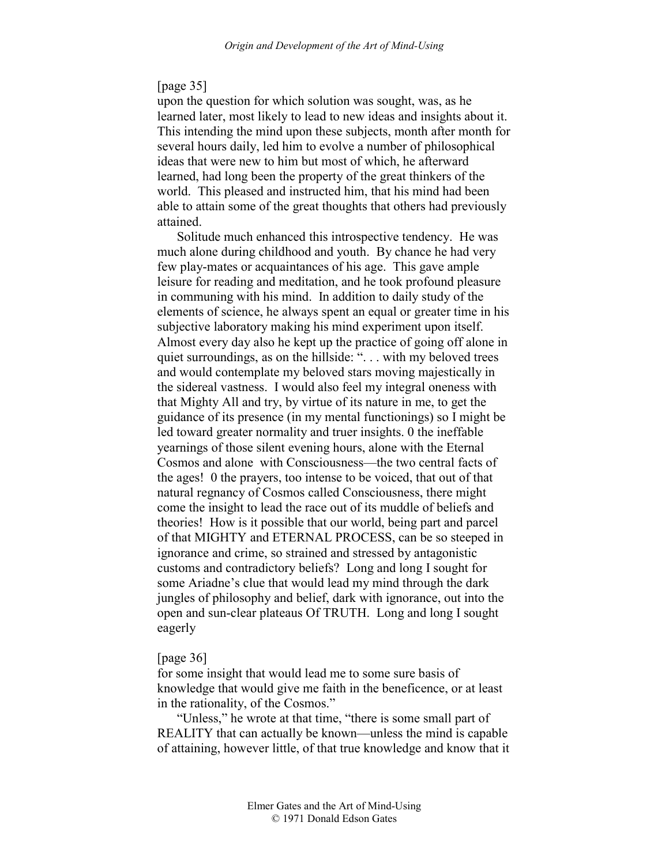## [page 35]

upon the question for which solution was sought, was, as he learned later, most likely to lead to new ideas and insights about it. This intending the mind upon these subjects, month after month for several hours daily, led him to evolve a number of philosophical ideas that were new to him but most of which, he afterward learned, had long been the property of the great thinkers of the world. This pleased and instructed him, that his mind had been able to attain some of the great thoughts that others had previously attained.

Solitude much enhanced this introspective tendency. He was much alone during childhood and youth. By chance he had very few play-mates or acquaintances of his age. This gave ample leisure for reading and meditation, and he took profound pleasure in communing with his mind. In addition to daily study of the elements of science, he always spent an equal or greater time in his subjective laboratory making his mind experiment upon itself. Almost every day also he kept up the practice of going off alone in quiet surroundings, as on the hillside: ". . . with my beloved trees and would contemplate my beloved stars moving majestically in the sidereal vastness. I would also feel my integral oneness with that Mighty All and try, by virtue of its nature in me, to get the guidance of its presence (in my mental functionings) so I might be led toward greater normality and truer insights. 0 the ineffable yearnings of those silent evening hours, alone with the Eternal Cosmos and alone with Consciousness—the two central facts of the ages! 0 the prayers, too intense to be voiced, that out of that natural regnancy of Cosmos called Consciousness, there might come the insight to lead the race out of its muddle of beliefs and theories! How is it possible that our world, being part and parcel of that MIGHTY and ETERNAL PROCESS, can be so steeped in ignorance and crime, so strained and stressed by antagonistic customs and contradictory beliefs? Long and long I sought for some Ariadne's clue that would lead my mind through the dark jungles of philosophy and belief, dark with ignorance, out into the open and sun-clear plateaus Of TRUTH. Long and long I sought eagerly

### [page 36]

for some insight that would lead me to some sure basis of knowledge that would give me faith in the beneficence, or at least in the rationality, of the Cosmos."

"Unless," he wrote at that time, "there is some small part of REALITY that can actually be known—unless the mind is capable of attaining, however little, of that true knowledge and know that it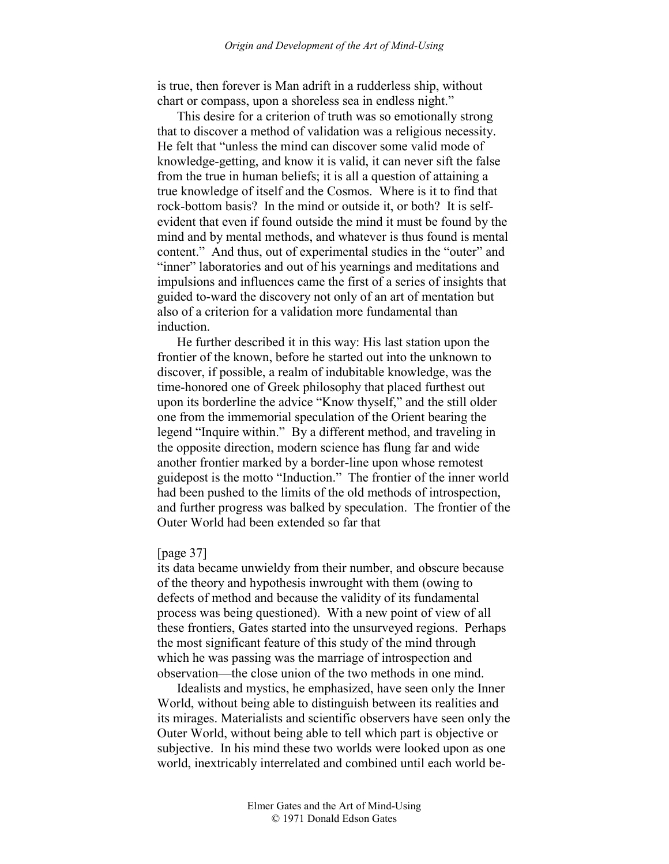is true, then forever is Man adrift in a rudderless ship, without chart or compass, upon a shoreless sea in endless night."

This desire for a criterion of truth was so emotionally strong that to discover a method of validation was a religious necessity. He felt that "unless the mind can discover some valid mode of knowledge-getting, and know it is valid, it can never sift the false from the true in human beliefs; it is all a question of attaining a true knowledge of itself and the Cosmos. Where is it to find that rock-bottom basis? In the mind or outside it, or both? It is selfevident that even if found outside the mind it must be found by the mind and by mental methods, and whatever is thus found is mental content." And thus, out of experimental studies in the "outer" and "inner" laboratories and out of his yearnings and meditations and impulsions and influences came the first of a series of insights that guided to-ward the discovery not only of an art of mentation but also of a criterion for a validation more fundamental than induction.

He further described it in this way: His last station upon the frontier of the known, before he started out into the unknown to discover, if possible, a realm of indubitable knowledge, was the time-honored one of Greek philosophy that placed furthest out upon its borderline the advice "Know thyself," and the still older one from the immemorial speculation of the Orient bearing the legend "Inquire within." By a different method, and traveling in the opposite direction, modern science has flung far and wide another frontier marked by a border-line upon whose remotest guidepost is the motto "Induction." The frontier of the inner world had been pushed to the limits of the old methods of introspection, and further progress was balked by speculation. The frontier of the Outer World had been extended so far that

### [page 37]

its data became unwieldy from their number, and obscure because of the theory and hypothesis inwrought with them (owing to defects of method and because the validity of its fundamental process was being questioned). With a new point of view of all these frontiers, Gates started into the unsurveyed regions. Perhaps the most significant feature of this study of the mind through which he was passing was the marriage of introspection and observation—the close union of the two methods in one mind.

Idealists and mystics, he emphasized, have seen only the Inner World, without being able to distinguish between its realities and its mirages. Materialists and scientific observers have seen only the Outer World, without being able to tell which part is objective or subjective. In his mind these two worlds were looked upon as one world, inextricably interrelated and combined until each world be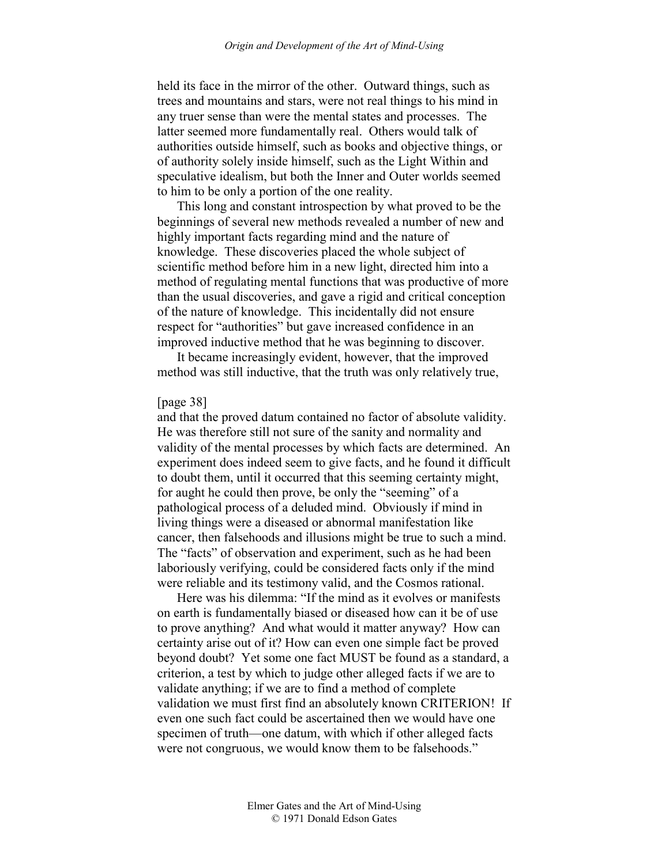held its face in the mirror of the other. Outward things, such as trees and mountains and stars, were not real things to his mind in any truer sense than were the mental states and processes. The latter seemed more fundamentally real. Others would talk of authorities outside himself, such as books and objective things, or of authority solely inside himself, such as the Light Within and speculative idealism, but both the Inner and Outer worlds seemed to him to be only a portion of the one reality.

This long and constant introspection by what proved to be the beginnings of several new methods revealed a number of new and highly important facts regarding mind and the nature of knowledge. These discoveries placed the whole subject of scientific method before him in a new light, directed him into a method of regulating mental functions that was productive of more than the usual discoveries, and gave a rigid and critical conception of the nature of knowledge. This incidentally did not ensure respect for "authorities" but gave increased confidence in an improved inductive method that he was beginning to discover.

It became increasingly evident, however, that the improved method was still inductive, that the truth was only relatively true,

## [page 38]

and that the proved datum contained no factor of absolute validity. He was therefore still not sure of the sanity and normality and validity of the mental processes by which facts are determined. An experiment does indeed seem to give facts, and he found it difficult to doubt them, until it occurred that this seeming certainty might, for aught he could then prove, be only the "seeming" of a pathological process of a deluded mind. Obviously if mind in living things were a diseased or abnormal manifestation like cancer, then falsehoods and illusions might be true to such a mind. The "facts" of observation and experiment, such as he had been laboriously verifying, could be considered facts only if the mind were reliable and its testimony valid, and the Cosmos rational.

Here was his dilemma: "If the mind as it evolves or manifests on earth is fundamentally biased or diseased how can it be of use to prove anything? And what would it matter anyway? How can certainty arise out of it? How can even one simple fact be proved beyond doubt? Yet some one fact MUST be found as a standard, a criterion, a test by which to judge other alleged facts if we are to validate anything; if we are to find a method of complete validation we must first find an absolutely known CRITERION! If even one such fact could be ascertained then we would have one specimen of truth—one datum, with which if other alleged facts were not congruous, we would know them to be falsehoods."